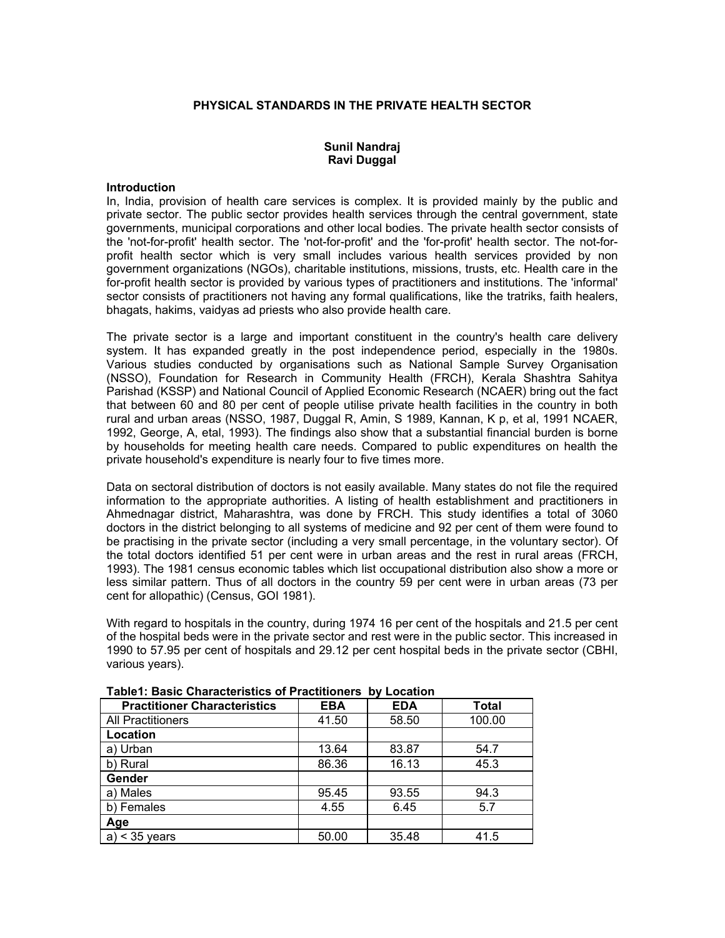#### **PHYSICAL STANDARDS IN THE PRIVATE HEALTH SECTOR**

## **Sunil Nandraj Ravi Duggal**

#### **Introduction**

In, India, provision of health care services is complex. It is provided mainly by the public and private sector. The public sector provides health services through the central government, state governments, municipal corporations and other local bodies. The private health sector consists of the 'not-for-profit' health sector. The 'not-for-profit' and the 'for-profit' health sector. The not-forprofit health sector which is very small includes various health services provided by non government organizations (NGOs), charitable institutions, missions, trusts, etc. Health care in the for-profit health sector is provided by various types of practitioners and institutions. The 'informal' sector consists of practitioners not having any formal qualifications, like the tratriks, faith healers, bhagats, hakims, vaidyas ad priests who also provide health care.

The private sector is a large and important constituent in the country's health care delivery system. It has expanded greatly in the post independence period, especially in the 1980s. Various studies conducted by organisations such as National Sample Survey Organisation (NSSO), Foundation for Research in Community Health (FRCH), Kerala Shashtra Sahitya Parishad (KSSP) and National Council of Applied Economic Research (NCAER) bring out the fact that between 60 and 80 per cent of people utilise private health facilities in the country in both rural and urban areas (NSSO, 1987, Duggal R, Amin, S 1989, Kannan, K p, et al, 1991 NCAER, 1992, George, A, etal, 1993). The findings also show that a substantial financial burden is borne by households for meeting health care needs. Compared to public expenditures on health the private household's expenditure is nearly four to five times more.

Data on sectoral distribution of doctors is not easily available. Many states do not file the required information to the appropriate authorities. A listing of health establishment and practitioners in Ahmednagar district, Maharashtra, was done by FRCH. This study identifies a total of 3060 doctors in the district belonging to all systems of medicine and 92 per cent of them were found to be practising in the private sector (including a very small percentage, in the voluntary sector). Of the total doctors identified 51 per cent were in urban areas and the rest in rural areas (FRCH, 1993). The 1981 census economic tables which list occupational distribution also show a more or less similar pattern. Thus of all doctors in the country 59 per cent were in urban areas (73 per cent for allopathic) (Census, GOI 1981).

With regard to hospitals in the country, during 1974 16 per cent of the hospitals and 21.5 per cent of the hospital beds were in the private sector and rest were in the public sector. This increased in 1990 to 57.95 per cent of hospitals and 29.12 per cent hospital beds in the private sector (CBHI, various years).

| <b>Practitioner Characteristics</b> | <b>EBA</b> | <b>EDA</b> | Total  |
|-------------------------------------|------------|------------|--------|
| <b>All Practitioners</b>            | 41.50      | 58.50      | 100.00 |
| Location                            |            |            |        |
| a) Urban                            | 13.64      | 83.87      | 54.7   |
| b) Rural                            | 86.36      | 16.13      | 45.3   |
| Gender                              |            |            |        |
| a) Males                            | 95.45      | 93.55      | 94.3   |
| b) Females                          | 4.55       | 6.45       | 5.7    |
| Age                                 |            |            |        |
| $<$ 35 years<br>a)                  | 50.00      | 35.48      | 41.5   |

### **Table1: Basic Characteristics of Practitioners by Location**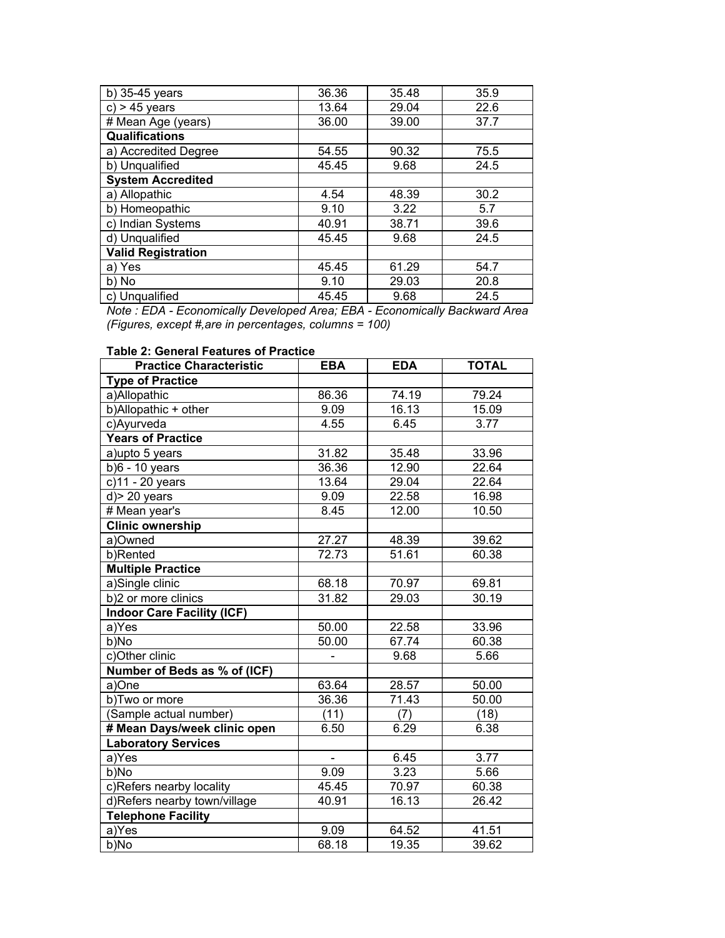| b) 35-45 years            | 36.36 | 35.48 | 35.9 |
|---------------------------|-------|-------|------|
| $c$ ) > 45 years          | 13.64 | 29.04 | 22.6 |
| # Mean Age (years)        | 36.00 | 39.00 | 37.7 |
| <b>Qualifications</b>     |       |       |      |
| a) Accredited Degree      | 54.55 | 90.32 | 75.5 |
| b) Unqualified            | 45.45 | 9.68  | 24.5 |
| <b>System Accredited</b>  |       |       |      |
| a) Allopathic             | 4.54  | 48.39 | 30.2 |
| b) Homeopathic            | 9.10  | 3.22  | 5.7  |
| c) Indian Systems         | 40.91 | 38.71 | 39.6 |
| d) Unqualified            | 45.45 | 9.68  | 24.5 |
| <b>Valid Registration</b> |       |       |      |
| a) Yes                    | 45.45 | 61.29 | 54.7 |
| b) No                     | 9.10  | 29.03 | 20.8 |
| c) Unqualified            | 45.45 | 9.68  | 24.5 |

*Note : EDA - Economically Developed Area; EBA - Economically Backward Area (Figures, except #,are in percentages, columns = 100)* 

## **Table 2: General Features of Practice**

| <b>Practice Characteristic</b>    | <b>EBA</b>     | <b>EDA</b> | <b>TOTAL</b> |
|-----------------------------------|----------------|------------|--------------|
| <b>Type of Practice</b>           |                |            |              |
| a)Allopathic                      | 86.36          | 74.19      | 79.24        |
| b)Allopathic + other              | 9.09           | 16.13      | 15.09        |
| c)Ayurveda                        | 4.55           | 6.45       | 3.77         |
| <b>Years of Practice</b>          |                |            |              |
| a) upto 5 years                   | 31.82          | 35.48      | 33.96        |
| $b)6 - 10$ years                  | 36.36          | 12.90      | 22.64        |
| c)11 - 20 years                   | 13.64          | 29.04      | 22.64        |
| $d$ > 20 years                    | 9.09           | 22.58      | 16.98        |
| # Mean year's                     | 8.45           | 12.00      | 10.50        |
| <b>Clinic ownership</b>           |                |            |              |
| a)Owned                           | 27.27          | 48.39      | 39.62        |
| b)Rented                          | 72.73          | 51.61      | 60.38        |
| <b>Multiple Practice</b>          |                |            |              |
| a)Single clinic                   | 68.18          | 70.97      | 69.81        |
| b)2 or more clinics               | 31.82          | 29.03      | 30.19        |
| <b>Indoor Care Facility (ICF)</b> |                |            |              |
| a)Yes                             | 50.00          | 22.58      | 33.96        |
| b)No                              | 50.00          | 67.74      | 60.38        |
| c)Other clinic                    |                | 9.68       | 5.66         |
| Number of Beds as % of (ICF)      |                |            |              |
| a)One                             | 63.64          | 28.57      | 50.00        |
| b)Two or more                     | 36.36          | 71.43      | 50.00        |
| (Sample actual number)            | (11)           | (7)        | (18)         |
| # Mean Days/week clinic open      | 6.50           | 6.29       | 6.38         |
| <b>Laboratory Services</b>        |                |            |              |
| a)Yes                             | $\blacksquare$ | 6.45       | 3.77         |
| b)No                              | 9.09           | 3.23       | 5.66         |
| c)Refers nearby locality          | 45.45          | 70.97      | 60.38        |
| d)Refers nearby town/village      | 40.91          | 16.13      | 26.42        |
| <b>Telephone Facility</b>         |                |            |              |
| a)Yes                             | 9.09           | 64.52      | 41.51        |
| b)No                              | 68.18          | 19.35      | 39.62        |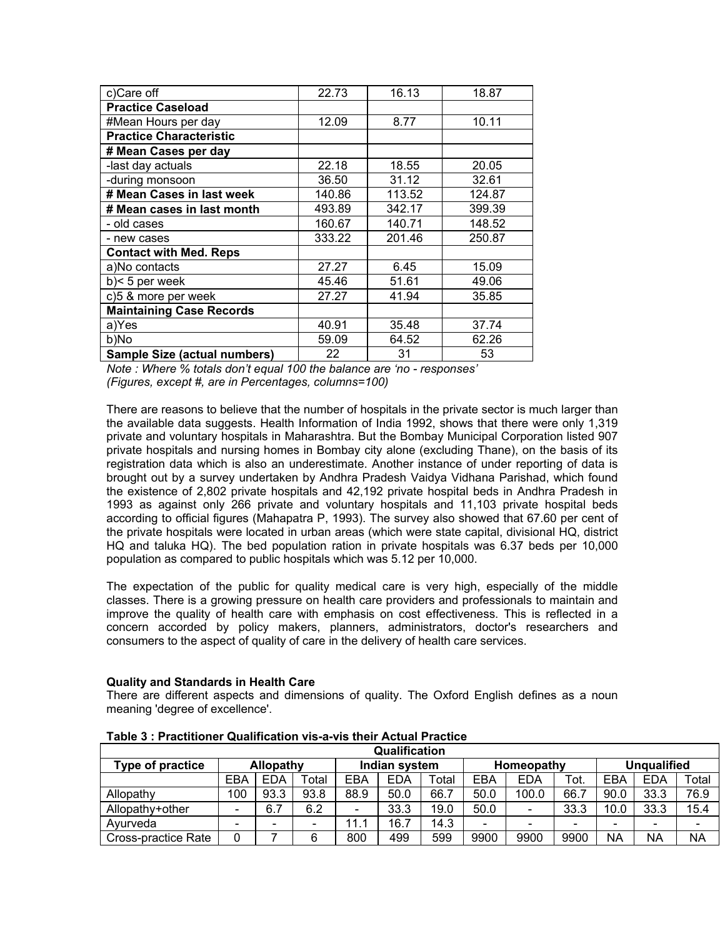| c)Care off                          | 22.73  | 16.13  | 18.87  |
|-------------------------------------|--------|--------|--------|
| <b>Practice Caseload</b>            |        |        |        |
| #Mean Hours per day                 | 12.09  | 8.77   | 10.11  |
| <b>Practice Characteristic</b>      |        |        |        |
| # Mean Cases per day                |        |        |        |
| -last day actuals                   | 22.18  | 18.55  | 20.05  |
| -during monsoon                     | 36.50  | 31.12  | 32.61  |
| # Mean Cases in last week           | 140.86 | 113.52 | 124.87 |
| # Mean cases in last month          | 493.89 | 342.17 | 399.39 |
| - old cases                         | 160.67 | 140.71 | 148.52 |
| - new cases                         | 333.22 | 201.46 | 250.87 |
| <b>Contact with Med. Reps</b>       |        |        |        |
| a)No contacts                       | 27.27  | 6.45   | 15.09  |
| $b$ < 5 per week                    | 45.46  | 51.61  | 49.06  |
| c)5 & more per week                 | 27.27  | 41.94  | 35.85  |
| <b>Maintaining Case Records</b>     |        |        |        |
| a)Yes                               | 40.91  | 35.48  | 37.74  |
| b)No                                | 59.09  | 64.52  | 62.26  |
| <b>Sample Size (actual numbers)</b> | 22     | 31     | 53     |

*Note : Where % totals don't equal 100 the balance are 'no - responses' (Figures, except #, are in Percentages, columns=100)* 

There are reasons to believe that the number of hospitals in the private sector is much larger than the available data suggests. Health Information of India 1992, shows that there were only 1,319 private and voluntary hospitals in Maharashtra. But the Bombay Municipal Corporation listed 907 private hospitals and nursing homes in Bombay city alone (excluding Thane), on the basis of its registration data which is also an underestimate. Another instance of under reporting of data is brought out by a survey undertaken by Andhra Pradesh Vaidya Vidhana Parishad, which found the existence of 2,802 private hospitals and 42,192 private hospital beds in Andhra Pradesh in 1993 as against only 266 private and voluntary hospitals and 11,103 private hospital beds according to official figures (Mahapatra P, 1993). The survey also showed that 67.60 per cent of the private hospitals were located in urban areas (which were state capital, divisional HQ, district HQ and taluka HQ). The bed population ration in private hospitals was 6.37 beds per 10,000 population as compared to public hospitals which was 5.12 per 10,000.

The expectation of the public for quality medical care is very high, especially of the middle classes. There is a growing pressure on health care providers and professionals to maintain and improve the quality of health care with emphasis on cost effectiveness. This is reflected in a concern accorded by policy makers, planners, administrators, doctor's researchers and consumers to the aspect of quality of care in the delivery of health care services.

### **Quality and Standards in Health Care**

There are different aspects and dimensions of quality. The Oxford English defines as a noun meaning 'degree of excellence'.

| Qualification       |                          |            |       |               |            |            |                          |                    |      |      |            |           |
|---------------------|--------------------------|------------|-------|---------------|------------|------------|--------------------------|--------------------|------|------|------------|-----------|
| Type of practice    | <b>Allopathy</b>         |            |       | Indian system |            | Homeopathy |                          | <b>Unqualified</b> |      |      |            |           |
|                     | EBA                      | <b>EDA</b> | Total | EBA           | <b>EDA</b> | Total      | EBA                      | EDA                | Tot. | EBA  | <b>EDA</b> | Total     |
| Allopathy           | 100                      | 93.3       | 93.8  | 88.9          | 50.0       | 66.7       | 50.0                     | 100.0              | 66.7 | 90.0 | 33.3       | 76.9      |
| Allopathy+other     | $\overline{\phantom{a}}$ | 6.7        | 6.2   | -             | 33.3       | 19.0       | 50.0                     |                    | 33.3 | 10.0 | 33.3       | 15.4      |
| Avurveda            |                          | -          |       | 11.1          | 16.7       | 14.3       | $\overline{\phantom{0}}$ |                    | -    | -    | -          |           |
| Cross-practice Rate | 0                        |            | 6     | 800           | 499        | 599        | 9900                     | 9900               | 9900 | NA   | <b>NA</b>  | <b>NA</b> |

**Table 3 : Practitioner Qualification vis-a-vis their Actual Practice**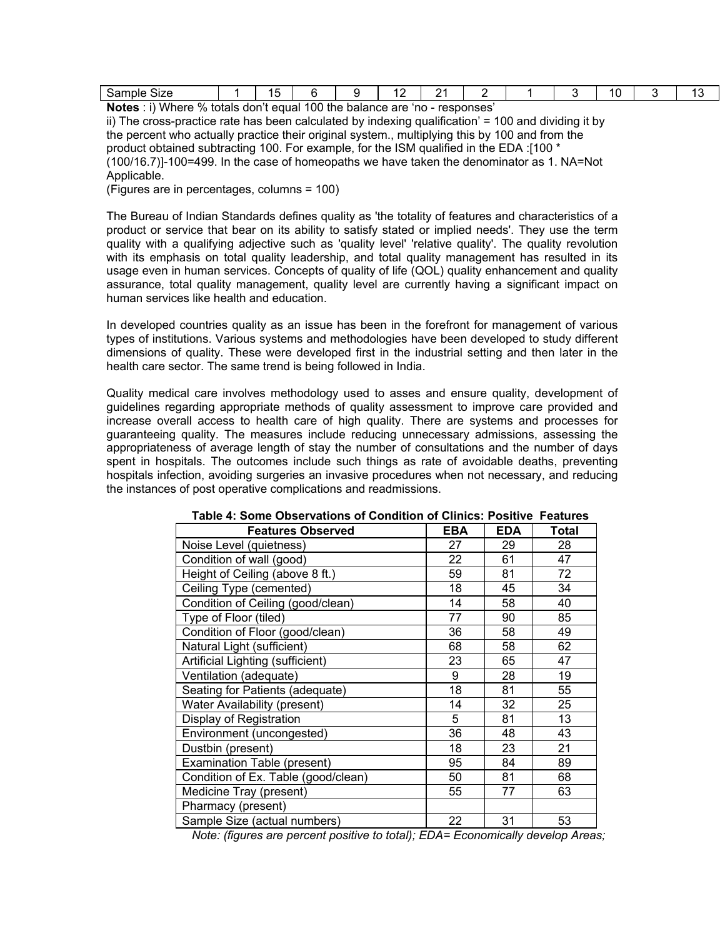| `onne<br>.<br>5dl.<br>ס∠וכ<br>--- | $\overline{\phantom{0}}$<br>. . |  | ъ.<br>. . |  | ۱۱. |  |
|-----------------------------------|---------------------------------|--|-----------|--|-----|--|
|                                   |                                 |  |           |  |     |  |

**Notes** : i) Where % totals don't equal 100 the balance are 'no - responses' ii) The cross-practice rate has been calculated by indexing qualification' = 100 and dividing it by the percent who actually practice their original system., multiplying this by 100 and from the product obtained subtracting 100. For example, for the ISM qualified in the EDA :[100 \* (100/16.7)]-100=499. In the case of homeopaths we have taken the denominator as 1. NA=Not Applicable.

(Figures are in percentages, columns = 100)

The Bureau of Indian Standards defines quality as 'the totality of features and characteristics of a product or service that bear on its ability to satisfy stated or implied needs'. They use the term quality with a qualifying adjective such as 'quality level' 'relative quality'. The quality revolution with its emphasis on total quality leadership, and total quality management has resulted in its usage even in human services. Concepts of quality of life (QOL) quality enhancement and quality assurance, total quality management, quality level are currently having a significant impact on human services like health and education.

In developed countries quality as an issue has been in the forefront for management of various types of institutions. Various systems and methodologies have been developed to study different dimensions of quality. These were developed first in the industrial setting and then later in the health care sector. The same trend is being followed in India.

Quality medical care involves methodology used to asses and ensure quality, development of guidelines regarding appropriate methods of quality assessment to improve care provided and increase overall access to health care of high quality. There are systems and processes for guaranteeing quality. The measures include reducing unnecessary admissions, assessing the appropriateness of average length of stay the number of consultations and the number of days spent in hospitals. The outcomes include such things as rate of avoidable deaths, preventing hospitals infection, avoiding surgeries an invasive procedures when not necessary, and reducing the instances of post operative complications and readmissions.

| <b>Features Observed</b>            | EBA | <b>EDA</b> | Total |
|-------------------------------------|-----|------------|-------|
| Noise Level (quietness)             | 27  | 29         | 28    |
| Condition of wall (good)            | 22  | 61         | 47    |
| Height of Ceiling (above 8 ft.)     | 59  | 81         | 72    |
| Ceiling Type (cemented)             | 18  | 45         | 34    |
| Condition of Ceiling (good/clean)   | 14  | 58         | 40    |
| Type of Floor (tiled)               | 77  | 90         | 85    |
| Condition of Floor (good/clean)     | 36  | 58         | 49    |
| Natural Light (sufficient)          | 68  | 58         | 62    |
| Artificial Lighting (sufficient)    | 23  | 65         | 47    |
| Ventilation (adequate)              | 9   | 28         | 19    |
| Seating for Patients (adequate)     | 18  | 81         | 55    |
| Water Availability (present)        | 14  | 32         | 25    |
| Display of Registration             | 5   | 81         | 13    |
| Environment (uncongested)           | 36  | 48         | 43    |
| Dustbin (present)                   | 18  | 23         | 21    |
| Examination Table (present)         | 95  | 84         | 89    |
| Condition of Ex. Table (good/clean) | 50  | 81         | 68    |
| Medicine Tray (present)             | 55  | 77         | 63    |
| Pharmacy (present)                  |     |            |       |
| Sample Size (actual numbers)        | 22  | 31         | 53    |

| Table 4: Some Observations of Condition of Clinics: Positive Features |
|-----------------------------------------------------------------------|
|-----------------------------------------------------------------------|

*Note: (figures are percent positive to total); EDA= Economically develop Areas;*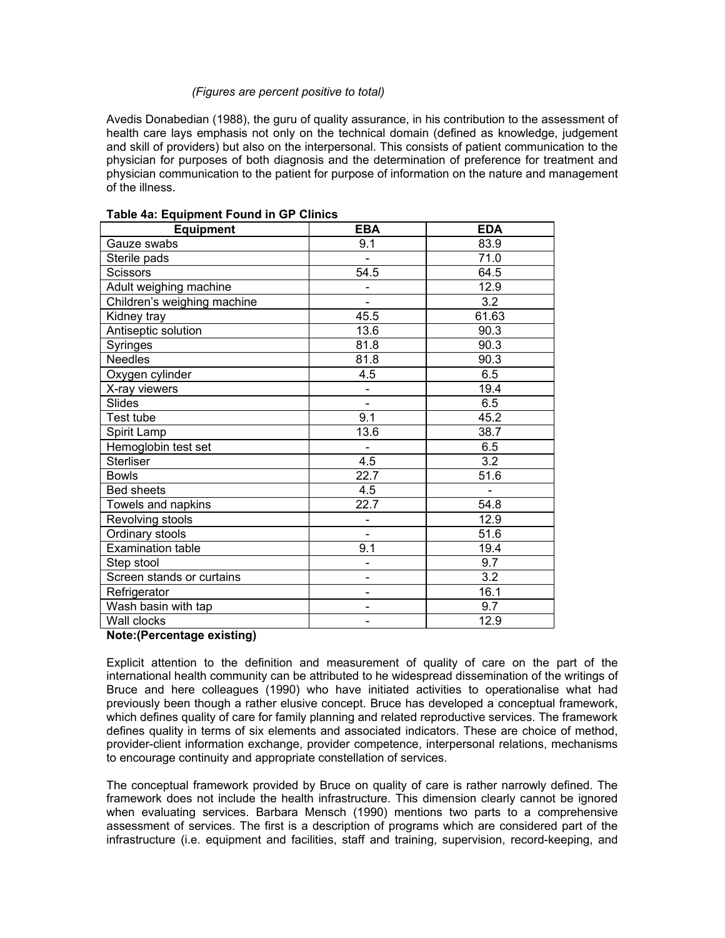## *(Figures are percent positive to total)*

Avedis Donabedian (1988), the guru of quality assurance, in his contribution to the assessment of health care lays emphasis not only on the technical domain (defined as knowledge, judgement and skill of providers) but also on the interpersonal. This consists of patient communication to the physician for purposes of both diagnosis and the determination of preference for treatment and physician communication to the patient for purpose of information on the nature and management of the illness.

| <b>Equipment</b>            | <b>EBA</b>                   | <b>EDA</b> |
|-----------------------------|------------------------------|------------|
| Gauze swabs                 | 9.1                          | 83.9       |
| Sterile pads                |                              | 71.0       |
| <b>Scissors</b>             | 54.5                         | 64.5       |
| Adult weighing machine      |                              | 12.9       |
| Children's weighing machine |                              | 3.2        |
| Kidney tray                 | 45.5                         | 61.63      |
| Antiseptic solution         | 13.6                         | 90.3       |
| Syringes                    | 81.8                         | 90.3       |
| <b>Needles</b>              | 81.8                         | 90.3       |
| Oxygen cylinder             | 4.5                          | 6.5        |
| X-ray viewers               | $\overline{\phantom{a}}$     | 19.4       |
| <b>Slides</b>               |                              | 6.5        |
| Test tube                   | 9.1                          | 45.2       |
| Spirit Lamp                 | 13.6                         | 38.7       |
| Hemoglobin test set         |                              | 6.5        |
| <b>Sterliser</b>            | 4.5                          | 3.2        |
| <b>Bowls</b>                | 22.7                         | 51.6       |
| <b>Bed sheets</b>           | 4.5                          |            |
| Towels and napkins          | 22.7                         | 54.8       |
| Revolving stools            | $\qquad \qquad \blacksquare$ | 12.9       |
| Ordinary stools             |                              | 51.6       |
| <b>Examination table</b>    | 9.1                          | 19.4       |
| Step stool                  | $\qquad \qquad \blacksquare$ | 9.7        |
| Screen stands or curtains   |                              | 3.2        |
| Refrigerator                |                              | 16.1       |
| Wash basin with tap         | $\qquad \qquad \blacksquare$ | 9.7        |
| Wall clocks                 |                              | 12.9       |

## **Table 4a: Equipment Found in GP Clinics**

### **Note:(Percentage existing)**

Explicit attention to the definition and measurement of quality of care on the part of the international health community can be attributed to he widespread dissemination of the writings of Bruce and here colleagues (1990) who have initiated activities to operationalise what had previously been though a rather elusive concept. Bruce has developed a conceptual framework, which defines quality of care for family planning and related reproductive services. The framework defines quality in terms of six elements and associated indicators. These are choice of method, provider-client information exchange, provider competence, interpersonal relations, mechanisms to encourage continuity and appropriate constellation of services.

The conceptual framework provided by Bruce on quality of care is rather narrowly defined. The framework does not include the health infrastructure. This dimension clearly cannot be ignored when evaluating services. Barbara Mensch (1990) mentions two parts to a comprehensive assessment of services. The first is a description of programs which are considered part of the infrastructure (i.e. equipment and facilities, staff and training, supervision, record-keeping, and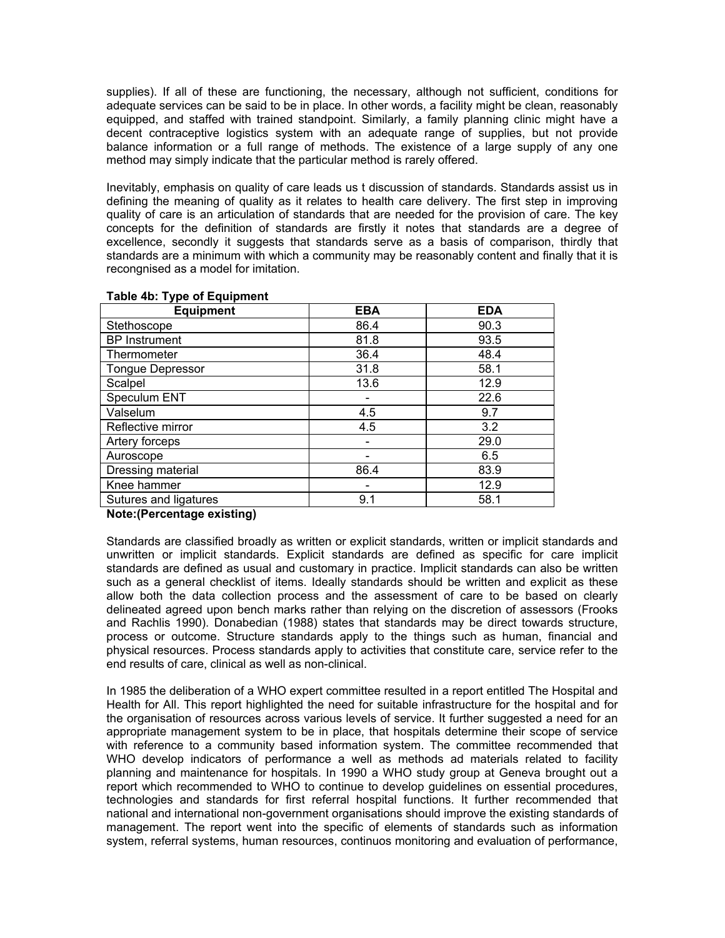supplies). If all of these are functioning, the necessary, although not sufficient, conditions for adequate services can be said to be in place. In other words, a facility might be clean, reasonably equipped, and staffed with trained standpoint. Similarly, a family planning clinic might have a decent contraceptive logistics system with an adequate range of supplies, but not provide balance information or a full range of methods. The existence of a large supply of any one method may simply indicate that the particular method is rarely offered.

Inevitably, emphasis on quality of care leads us t discussion of standards. Standards assist us in defining the meaning of quality as it relates to health care delivery. The first step in improving quality of care is an articulation of standards that are needed for the provision of care. The key concepts for the definition of standards are firstly it notes that standards are a degree of excellence, secondly it suggests that standards serve as a basis of comparison, thirdly that standards are a minimum with which a community may be reasonably content and finally that it is recongnised as a model for imitation.

| <b>Equipment</b>        | <b>EBA</b> | <b>EDA</b> |
|-------------------------|------------|------------|
| Stethoscope             | 86.4       | 90.3       |
| <b>BP</b> Instrument    | 81.8       | 93.5       |
| Thermometer             | 36.4       | 48.4       |
| <b>Tongue Depressor</b> | 31.8       | 58.1       |
| Scalpel                 | 13.6       | 12.9       |
| Speculum ENT            |            | 22.6       |
| Valselum                | 4.5        | 9.7        |
| Reflective mirror       | 4.5        | 3.2        |
| Artery forceps          |            | 29.0       |
| Auroscope               |            | 6.5        |
| Dressing material       | 86.4       | 83.9       |
| Knee hammer             |            | 12.9       |
| Sutures and ligatures   | 9.1        | 58.1       |

#### **Table 4b: Type of Equipment**

### **Note:(Percentage existing)**

Standards are classified broadly as written or explicit standards, written or implicit standards and unwritten or implicit standards. Explicit standards are defined as specific for care implicit standards are defined as usual and customary in practice. Implicit standards can also be written such as a general checklist of items. Ideally standards should be written and explicit as these allow both the data collection process and the assessment of care to be based on clearly delineated agreed upon bench marks rather than relying on the discretion of assessors (Frooks and Rachlis 1990). Donabedian (1988) states that standards may be direct towards structure, process or outcome. Structure standards apply to the things such as human, financial and physical resources. Process standards apply to activities that constitute care, service refer to the end results of care, clinical as well as non-clinical.

In 1985 the deliberation of a WHO expert committee resulted in a report entitled The Hospital and Health for All. This report highlighted the need for suitable infrastructure for the hospital and for the organisation of resources across various levels of service. It further suggested a need for an appropriate management system to be in place, that hospitals determine their scope of service with reference to a community based information system. The committee recommended that WHO develop indicators of performance a well as methods ad materials related to facility planning and maintenance for hospitals. In 1990 a WHO study group at Geneva brought out a report which recommended to WHO to continue to develop guidelines on essential procedures, technologies and standards for first referral hospital functions. It further recommended that national and international non-government organisations should improve the existing standards of management. The report went into the specific of elements of standards such as information system, referral systems, human resources, continuos monitoring and evaluation of performance,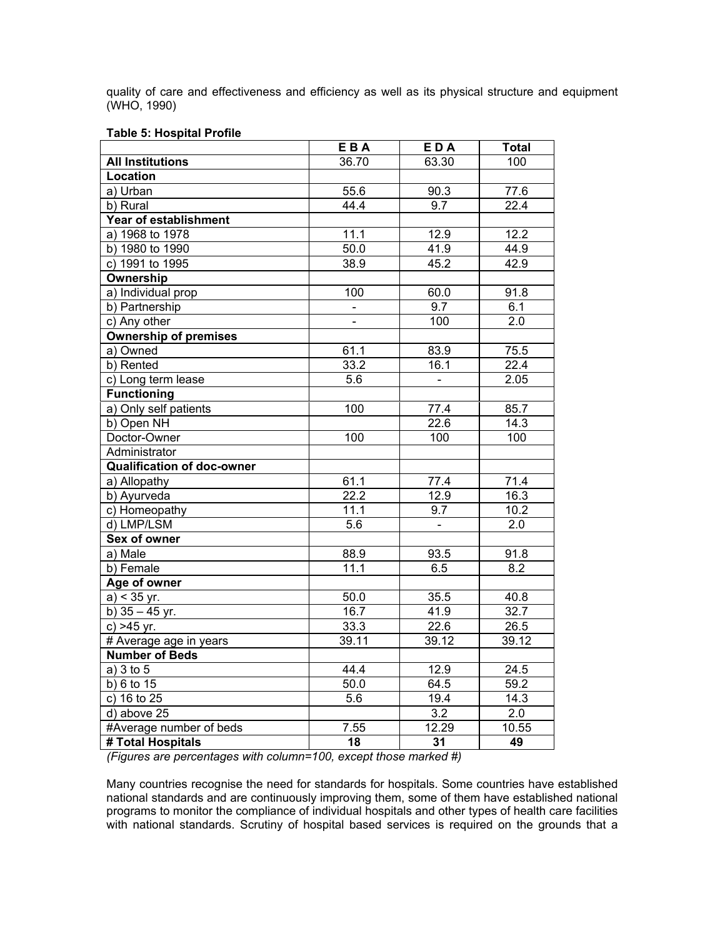quality of care and effectiveness and efficiency as well as its physical structure and equipment (WHO, 1990)

#### **Table 5: Hospital Profile**

|                                   | EBA               | EDA              | <b>Total</b>      |
|-----------------------------------|-------------------|------------------|-------------------|
| <b>All Institutions</b>           | 36.70             | 63.30            | 100               |
| Location                          |                   |                  |                   |
| a) Urban                          | 55.6              | 90.3             | 77.6              |
| b) Rural                          | 44.4              | 9.7              | 22.4              |
| <b>Year of establishment</b>      |                   |                  |                   |
| a) 1968 to 1978                   | 11.1              | 12.9             | 12.2              |
| b) 1980 to 1990                   | 50.0              | 41.9             | 44.9              |
| c) 1991 to 1995                   | 38.9              | 45.2             | 42.9              |
| Ownership                         |                   |                  |                   |
| a) Individual prop                | 100               | 60.0             | 91.8              |
| b) Partnership                    | $\mathbf{r}$      | 9.7              | 6.1               |
| c) Any other                      |                   | 100              | 2.0               |
| <b>Ownership of premises</b>      |                   |                  |                   |
| a) Owned                          | 61.1              | 83.9             | 75.5              |
| b) Rented                         | 33.2              | 16.1             | $\overline{22.4}$ |
| c) Long term lease                | 5.6               | $\blacksquare$   | 2.05              |
| <b>Functioning</b>                |                   |                  |                   |
| a) Only self patients             | $\overline{1}00$  | 77.4             | 85.7              |
| b) Open NH                        |                   | 22.6             | 14.3              |
| Doctor-Owner                      | 100               | 100              | 100               |
| Administrator                     |                   |                  |                   |
| <b>Qualification of doc-owner</b> |                   |                  |                   |
| a) Allopathy                      | 61.1              | 77.4             | 71.4              |
| b) Ayurveda                       | $\overline{22.2}$ | 12.9             | 16.3              |
| c) Homeopathy                     | 11.1              | 9.7              | 10.2              |
| d) LMP/LSM                        | 5.6               | $\blacksquare$   | 2.0               |
| Sex of owner                      |                   |                  |                   |
| a) Male                           | 88.9              | 93.5             | 91.8              |
| b) Female                         | 11.1              | 6.5              | 8.2               |
| Age of owner                      |                   |                  |                   |
| $a) < 35$ yr.                     | 50.0              | 35.5             | 40.8              |
| b) $35 - 45$ yr.                  | 16.7              | 41.9             | 32.7              |
| $c) > 45$ yr.                     | 33.3              | 22.6             | 26.5              |
| # Average age in years            | 39.11             | 39.12            | 39.12             |
| <b>Number of Beds</b>             |                   |                  |                   |
| a) 3 to 5                         | 44.4              | 12.9             | 24.5              |
| b) 6 to 15                        | 50.0              | 64.5             | 59.2              |
| c) 16 to 25                       | 5.6               | 19.4             | 14.3              |
| d) above 25                       |                   | $\overline{3.2}$ | 2.0               |
| #Average number of beds           | 7.55              | 12.29            | 10.55             |
| # Total Hospitals                 | 18                | 31               | 49                |

*(Figures are percentages with column=100, except those marked #)* 

Many countries recognise the need for standards for hospitals. Some countries have established national standards and are continuously improving them, some of them have established national programs to monitor the compliance of individual hospitals and other types of health care facilities with national standards. Scrutiny of hospital based services is required on the grounds that a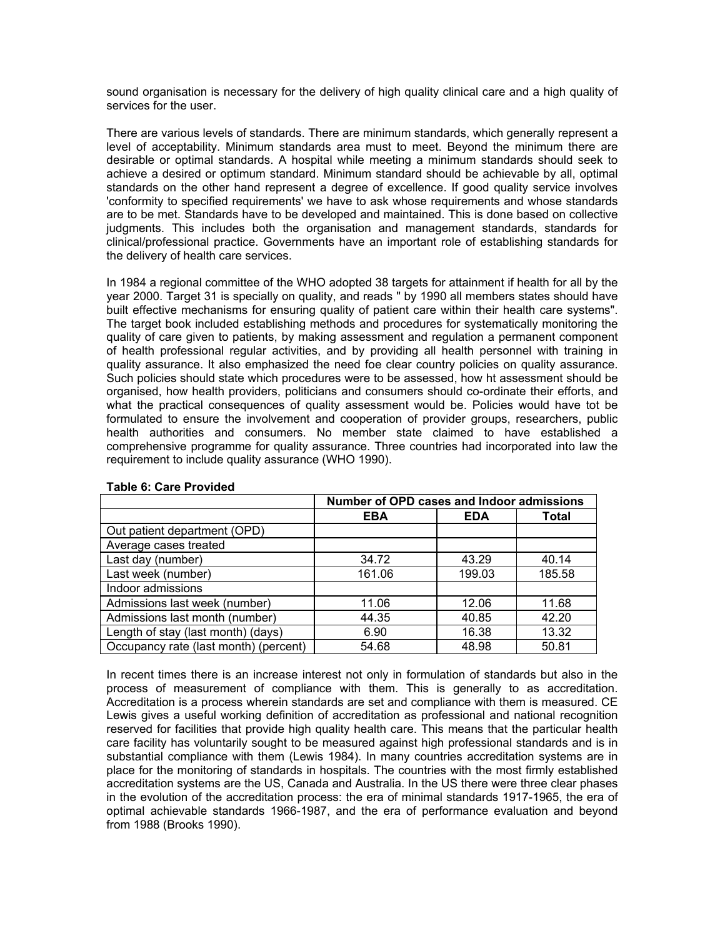sound organisation is necessary for the delivery of high quality clinical care and a high quality of services for the user.

There are various levels of standards. There are minimum standards, which generally represent a level of acceptability. Minimum standards area must to meet. Beyond the minimum there are desirable or optimal standards. A hospital while meeting a minimum standards should seek to achieve a desired or optimum standard. Minimum standard should be achievable by all, optimal standards on the other hand represent a degree of excellence. If good quality service involves 'conformity to specified requirements' we have to ask whose requirements and whose standards are to be met. Standards have to be developed and maintained. This is done based on collective judgments. This includes both the organisation and management standards, standards for clinical/professional practice. Governments have an important role of establishing standards for the delivery of health care services.

In 1984 a regional committee of the WHO adopted 38 targets for attainment if health for all by the year 2000. Target 31 is specially on quality, and reads " by 1990 all members states should have built effective mechanisms for ensuring quality of patient care within their health care systems". The target book included establishing methods and procedures for systematically monitoring the quality of care given to patients, by making assessment and regulation a permanent component of health professional regular activities, and by providing all health personnel with training in quality assurance. It also emphasized the need foe clear country policies on quality assurance. Such policies should state which procedures were to be assessed, how ht assessment should be organised, how health providers, politicians and consumers should co-ordinate their efforts, and what the practical consequences of quality assessment would be. Policies would have tot be formulated to ensure the involvement and cooperation of provider groups, researchers, public health authorities and consumers. No member state claimed to have established a comprehensive programme for quality assurance. Three countries had incorporated into law the requirement to include quality assurance (WHO 1990).

|                                       | Number of OPD cases and Indoor admissions |            |        |  |  |  |
|---------------------------------------|-------------------------------------------|------------|--------|--|--|--|
|                                       | <b>EBA</b>                                | <b>EDA</b> | Total  |  |  |  |
| Out patient department (OPD)          |                                           |            |        |  |  |  |
| Average cases treated                 |                                           |            |        |  |  |  |
| Last day (number)                     | 34.72                                     | 43.29      | 40.14  |  |  |  |
| Last week (number)                    | 161.06                                    | 199.03     | 185.58 |  |  |  |
| Indoor admissions                     |                                           |            |        |  |  |  |
| Admissions last week (number)         | 11.06                                     | 12.06      | 11.68  |  |  |  |
| Admissions last month (number)        | 44.35                                     | 40.85      | 42.20  |  |  |  |
| Length of stay (last month) (days)    | 6.90                                      | 16.38      | 13.32  |  |  |  |
| Occupancy rate (last month) (percent) | 54.68                                     | 48.98      | 50.81  |  |  |  |

### **Table 6: Care Provided**

In recent times there is an increase interest not only in formulation of standards but also in the process of measurement of compliance with them. This is generally to as accreditation. Accreditation is a process wherein standards are set and compliance with them is measured. CE Lewis gives a useful working definition of accreditation as professional and national recognition reserved for facilities that provide high quality health care. This means that the particular health care facility has voluntarily sought to be measured against high professional standards and is in substantial compliance with them (Lewis 1984). In many countries accreditation systems are in place for the monitoring of standards in hospitals. The countries with the most firmly established accreditation systems are the US, Canada and Australia. In the US there were three clear phases in the evolution of the accreditation process: the era of minimal standards 1917-1965, the era of optimal achievable standards 1966-1987, and the era of performance evaluation and beyond from 1988 (Brooks 1990).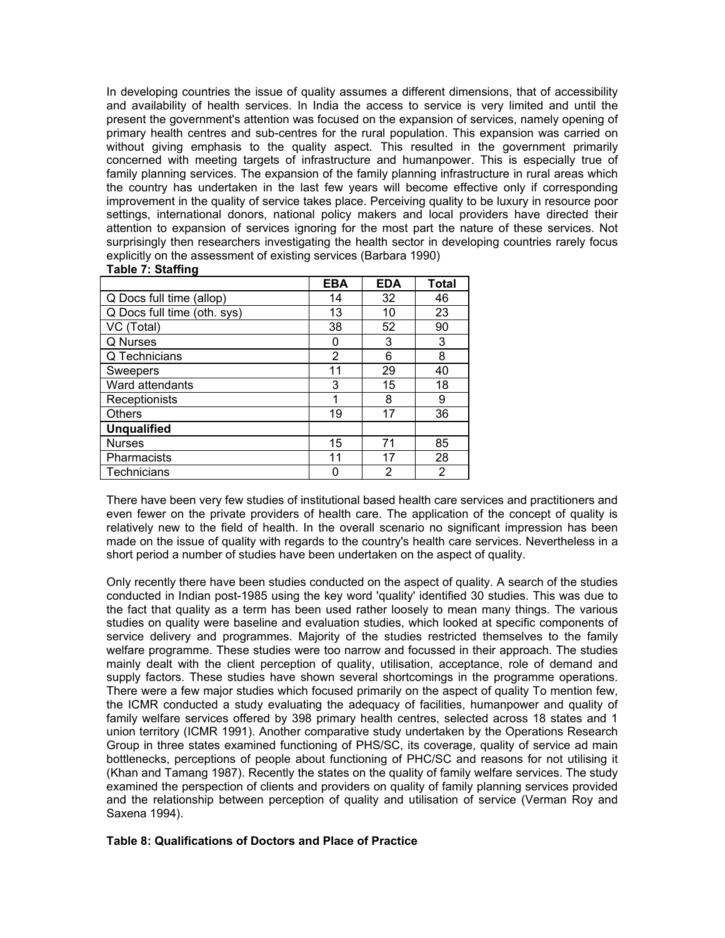In developing countries the issue of quality assumes a different dimensions, that of accessibility and availability of health services. In India the access to service is very limited and until the present the government's attention was focused on the expansion of services, namely opening of primary health centres and sub-centres for the rural population. This expansion was carried on without giving emphasis to the quality aspect. This resulted in the government primarily concerned with meeting targets of infrastructure and humanpower. This is especially true of family planning services. The expansion of the family planning infrastructure in rural areas which the country has undertaken in the last few years will become effective only if corresponding improvement in the quality of service takes place. Perceiving quality to be luxury in resource poor settings, international donors, national policy makers and local providers have directed their attention to expansion of services ignoring for the most part the nature of these services. Not surprisingly then researchers investigating the health sector in developing countries rarely focus explicitly on the assessment of existing services (Barbara 1990)

#### **Table 7: Staffing**

|                             | <b>EBA</b> | <b>EDA</b> | <b>Total</b> |
|-----------------------------|------------|------------|--------------|
| Q Docs full time (allop)    | 14         | 32         | 46           |
| Q Docs full time (oth. sys) | 13         | 10         | 23           |
| VC (Total)                  | 38         | 52         | 90           |
| Q Nurses                    | 0          | 3          | 3            |
| Q Technicians               | 2          | 6          | 8            |
| Sweepers                    | 11         | 29         | 40           |
| Ward attendants             | 3          | 15         | 18           |
| Receptionists               | 1          | 8          | 9            |
| <b>Others</b>               | 19         | 17         | 36           |
| <b>Unqualified</b>          |            |            |              |
| <b>Nurses</b>               | 15         | 71         | 85           |
| Pharmacists                 | 11         | 17         | 28           |
| Technicians                 |            | 2          | 2            |

There have been very few studies of institutional based health care services and practitioners and even fewer on the private providers of health care. The application of the concept of quality is relatively new to the field of health. In the overall scenario no significant impression has been made on the issue of quality with regards to the country's health care services. Nevertheless in a short period a number of studies have been undertaken on the aspect of quality.

Only recently there have been studies conducted on the aspect of quality. A search of the studies conducted in Indian post-1985 using the key word 'quality' identified 30 studies. This was due to the fact that quality as a term has been used rather loosely to mean many things. The various studies on quality were baseline and evaluation studies, which looked at specific components of service delivery and programmes. Majority of the studies restricted themselves to the family welfare programme. These studies were too narrow and focussed in their approach. The studies mainly dealt with the client perception of quality, utilisation, acceptance, role of demand and supply factors. These studies have shown several shortcomings in the programme operations. There were a few major studies which focused primarily on the aspect of quality To mention few, the ICMR conducted a study evaluating the adequacy of facilities, humanpower and quality of family welfare services offered by 398 primary health centres, selected across 18 states and 1 union territory (ICMR 1991). Another comparative study undertaken by the Operations Research Group in three states examined functioning of PHS/SC, its coverage, quality of service ad main bottlenecks, perceptions of people about functioning of PHC/SC and reasons for not utilising it (Khan and Tamang 1987). Recently the states on the quality of family welfare services. The study examined the perspection of clients and providers on quality of family planning services provided and the relationship between perception of quality and utilisation of service (Verman Roy and Saxena 1994).

### **Table 8: Qualifications of Doctors and Place of Practice**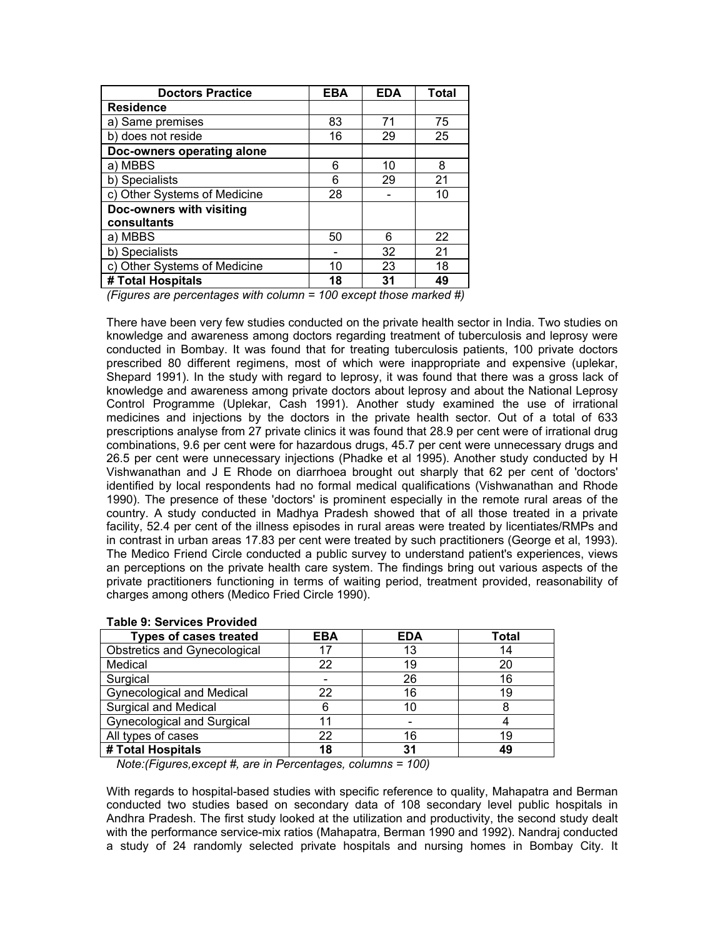| <b>Doctors Practice</b>      | <b>EBA</b> | <b>EDA</b> | <b>Total</b> |
|------------------------------|------------|------------|--------------|
| <b>Residence</b>             |            |            |              |
| a) Same premises             | 83         | 71         | 75           |
| b) does not reside           | 16         | 29         | 25           |
| Doc-owners operating alone   |            |            |              |
| a) MBBS                      | 6          | 10         | 8            |
| b) Specialists               | 6          | 29         | 21           |
| c) Other Systems of Medicine | 28         |            | 10           |
| Doc-owners with visiting     |            |            |              |
| consultants                  |            |            |              |
| a) MBBS                      | 50         | 6          | 22           |
| b) Specialists               |            | 32         | 21           |
| c) Other Systems of Medicine | 10         | 23         | 18           |
| # Total Hospitals            | 18         | 31         | 49           |

*(Figures are percentages with column = 100 except those marked #)* 

There have been very few studies conducted on the private health sector in India. Two studies on knowledge and awareness among doctors regarding treatment of tuberculosis and leprosy were conducted in Bombay. It was found that for treating tuberculosis patients, 100 private doctors prescribed 80 different regimens, most of which were inappropriate and expensive (uplekar, Shepard 1991). In the study with regard to leprosy, it was found that there was a gross lack of knowledge and awareness among private doctors about leprosy and about the National Leprosy Control Programme (Uplekar, Cash 1991). Another study examined the use of irrational medicines and injections by the doctors in the private health sector. Out of a total of 633 prescriptions analyse from 27 private clinics it was found that 28.9 per cent were of irrational drug combinations, 9.6 per cent were for hazardous drugs, 45.7 per cent were unnecessary drugs and 26.5 per cent were unnecessary injections (Phadke et al 1995). Another study conducted by H Vishwanathan and J E Rhode on diarrhoea brought out sharply that 62 per cent of 'doctors' identified by local respondents had no formal medical qualifications (Vishwanathan and Rhode 1990). The presence of these 'doctors' is prominent especially in the remote rural areas of the country. A study conducted in Madhya Pradesh showed that of all those treated in a private facility, 52.4 per cent of the illness episodes in rural areas were treated by licentiates/RMPs and in contrast in urban areas 17.83 per cent were treated by such practitioners (George et al, 1993). The Medico Friend Circle conducted a public survey to understand patient's experiences, views an perceptions on the private health care system. The findings bring out various aspects of the private practitioners functioning in terms of waiting period, treatment provided, reasonability of charges among others (Medico Fried Circle 1990).

| <b>Types of cases treated</b>       | <b>EBA</b> | <b>EDA</b> | Total |
|-------------------------------------|------------|------------|-------|
| <b>Obstretics and Gynecological</b> |            | 13         | 14    |
| Medical                             | 22         | 19         | 20    |
| Surgical                            |            | 26         | 16    |
| <b>Gynecological and Medical</b>    | 22         | 16         | 19    |
| <b>Surgical and Medical</b>         |            | 10         |       |
| <b>Gynecological and Surgical</b>   |            |            |       |
| All types of cases                  | 22         | 16         | 19    |
| # Total Hospitals                   | 18         | 31         | 49    |

### **Table 9: Services Provided**

 *Note:(Figures,except #, are in Percentages, columns = 100)* 

With regards to hospital-based studies with specific reference to quality, Mahapatra and Berman conducted two studies based on secondary data of 108 secondary level public hospitals in Andhra Pradesh. The first study looked at the utilization and productivity, the second study dealt with the performance service-mix ratios (Mahapatra, Berman 1990 and 1992). Nandraj conducted a study of 24 randomly selected private hospitals and nursing homes in Bombay City. It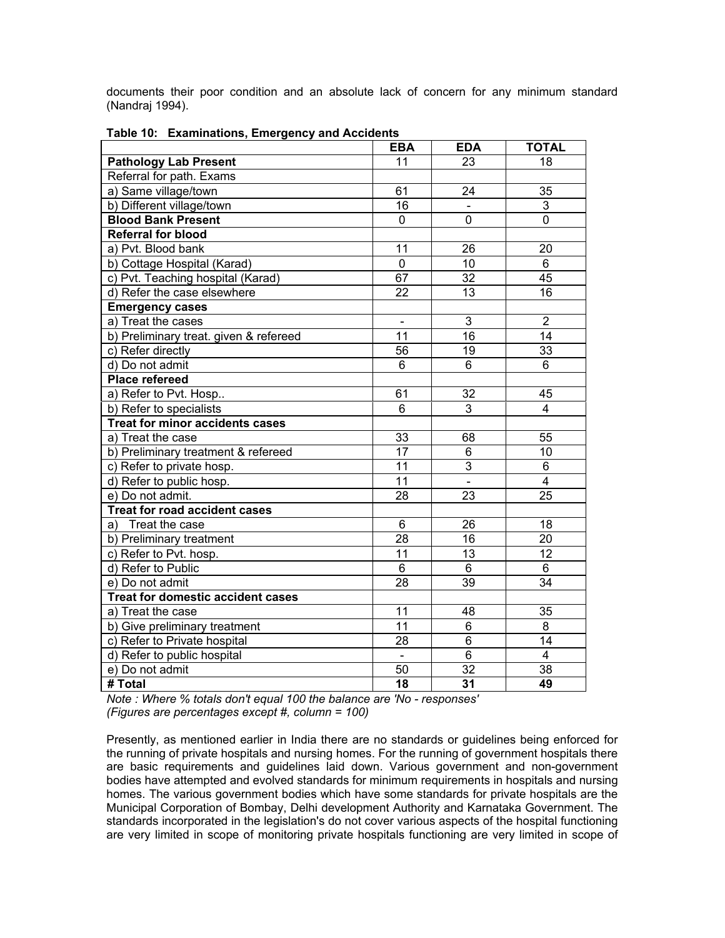documents their poor condition and an absolute lack of concern for any minimum standard (Nandraj 1994).

|                                          | <b>EBA</b>      | <b>EDA</b>      | <b>TOTAL</b>            |
|------------------------------------------|-----------------|-----------------|-------------------------|
| <b>Pathology Lab Present</b>             | 11              | 23              | 18                      |
| Referral for path. Exams                 |                 |                 |                         |
| a) Same village/town                     | 61              | $\overline{24}$ | $\overline{35}$         |
| b) Different village/town                | 16              |                 | 3                       |
| <b>Blood Bank Present</b>                | 0               | $\mathbf 0$     | $\overline{0}$          |
| <b>Referral for blood</b>                |                 |                 |                         |
| a) Pvt. Blood bank                       | 11              | 26              | 20                      |
| b) Cottage Hospital (Karad)              | 0               | 10              | 6                       |
| c) Pvt. Teaching hospital (Karad)        | 67              | $\overline{32}$ | 45                      |
| d) Refer the case elsewhere              | 22              | 13              | 16                      |
| <b>Emergency cases</b>                   |                 |                 |                         |
| a) Treat the cases                       | $\blacksquare$  | 3               | $\overline{2}$          |
| b) Preliminary treat. given & refereed   | 11              | 16              | 14                      |
| c) Refer directly                        | 56              | 19              | 33                      |
| d) Do not admit                          | 6               | 6               | 6                       |
| <b>Place refereed</b>                    |                 |                 |                         |
| a) Refer to Pvt. Hosp                    | 61              | 32              | 45                      |
| b) Refer to specialists                  | $\overline{6}$  | $\overline{3}$  | $\overline{4}$          |
| <b>Treat for minor accidents cases</b>   |                 |                 |                         |
| a) Treat the case                        | 33              | 68              | 55                      |
| b) Preliminary treatment & refereed      | $\overline{17}$ | $\overline{6}$  | 10                      |
| c) Refer to private hosp.                | 11              | $\overline{3}$  | 6                       |
| d) Refer to public hosp.                 | 11              | $\Box$          | $\overline{\mathbf{4}}$ |
| e) Do not admit.                         | $\overline{28}$ | $\overline{23}$ | $\overline{25}$         |
| <b>Treat for road accident cases</b>     |                 |                 |                         |
| Treat the case<br>a)                     | 6               | 26              | 18                      |
| b) Preliminary treatment                 | 28              | 16              | 20                      |
| c) Refer to Pvt. hosp.                   | 11              | 13              | 12                      |
| d) Refer to Public                       | 6               | $6\phantom{1}$  | 6                       |
| e) Do not admit                          | $\overline{28}$ | 39              | $\overline{34}$         |
| <b>Treat for domestic accident cases</b> |                 |                 |                         |
| a) Treat the case                        | 11              | 48              | 35                      |
| b) Give preliminary treatment            | $\overline{11}$ | $6\phantom{1}6$ | 8                       |
| c) Refer to Private hospital             | 28              | $6\phantom{1}6$ | 14                      |
| d) Refer to public hospital              | $\mathbf{r}$    | 6               | 4                       |
| e) Do not admit                          | 50              | $\overline{32}$ | 38                      |
| # Total                                  | 18              | 31              | 49                      |

**Table 10: Examinations, Emergency and Accidents** 

*Note : Where % totals don't equal 100 the balance are 'No - responses' (Figures are percentages except #, column = 100)* 

Presently, as mentioned earlier in India there are no standards or guidelines being enforced for the running of private hospitals and nursing homes. For the running of government hospitals there are basic requirements and guidelines laid down. Various government and non-government bodies have attempted and evolved standards for minimum requirements in hospitals and nursing homes. The various government bodies which have some standards for private hospitals are the Municipal Corporation of Bombay, Delhi development Authority and Karnataka Government. The standards incorporated in the legislation's do not cover various aspects of the hospital functioning are very limited in scope of monitoring private hospitals functioning are very limited in scope of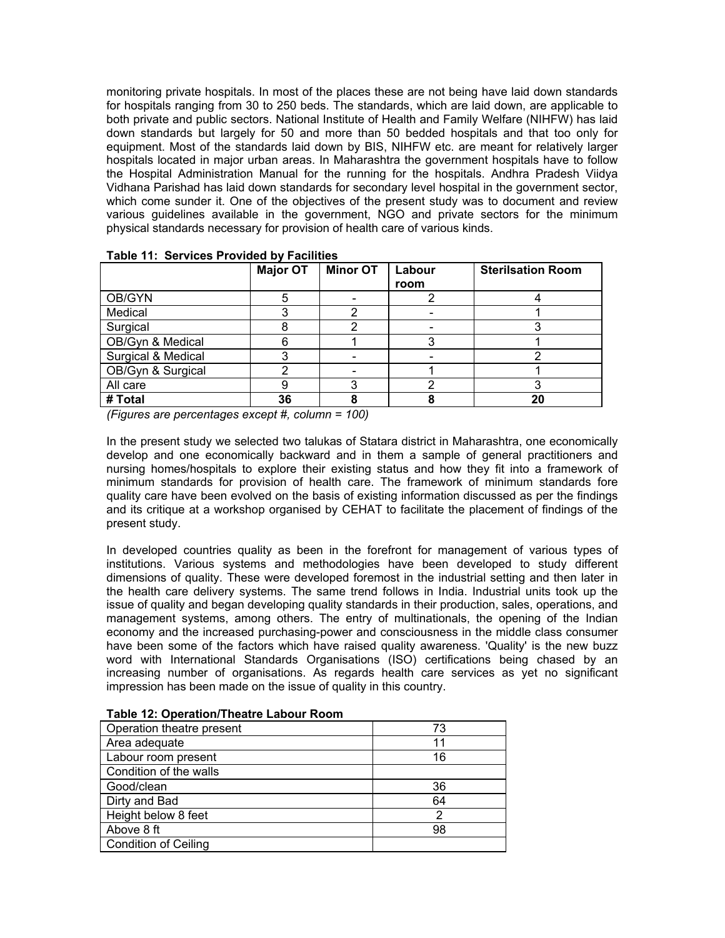monitoring private hospitals. In most of the places these are not being have laid down standards for hospitals ranging from 30 to 250 beds. The standards, which are laid down, are applicable to both private and public sectors. National Institute of Health and Family Welfare (NIHFW) has laid down standards but largely for 50 and more than 50 bedded hospitals and that too only for equipment. Most of the standards laid down by BIS, NIHFW etc. are meant for relatively larger hospitals located in major urban areas. In Maharashtra the government hospitals have to follow the Hospital Administration Manual for the running for the hospitals. Andhra Pradesh Viidya Vidhana Parishad has laid down standards for secondary level hospital in the government sector, which come sunder it. One of the objectives of the present study was to document and review various guidelines available in the government, NGO and private sectors for the minimum physical standards necessary for provision of health care of various kinds.

|                    | <b>Major OT</b> | <b>Minor OT</b> | Labour | <b>Sterilsation Room</b> |
|--------------------|-----------------|-----------------|--------|--------------------------|
|                    |                 |                 | room   |                          |
| OB/GYN             | 5               |                 |        |                          |
| Medical            |                 |                 |        |                          |
| Surgical           |                 |                 |        |                          |
| OB/Gyn & Medical   |                 |                 |        |                          |
| Surgical & Medical |                 |                 |        |                          |
| OB/Gyn & Surgical  |                 |                 |        |                          |
| All care           |                 |                 |        |                          |
| # Total            | 36              |                 |        | 20                       |

|  | Table 11: Services Provided by Facilities |
|--|-------------------------------------------|
|  |                                           |

*(Figures are percentages except #, column = 100)* 

In the present study we selected two talukas of Statara district in Maharashtra, one economically develop and one economically backward and in them a sample of general practitioners and nursing homes/hospitals to explore their existing status and how they fit into a framework of minimum standards for provision of health care. The framework of minimum standards fore quality care have been evolved on the basis of existing information discussed as per the findings and its critique at a workshop organised by CEHAT to facilitate the placement of findings of the present study.

In developed countries quality as been in the forefront for management of various types of institutions. Various systems and methodologies have been developed to study different dimensions of quality. These were developed foremost in the industrial setting and then later in the health care delivery systems. The same trend follows in India. Industrial units took up the issue of quality and began developing quality standards in their production, sales, operations, and management systems, among others. The entry of multinationals, the opening of the Indian economy and the increased purchasing-power and consciousness in the middle class consumer have been some of the factors which have raised quality awareness. 'Quality' is the new buzz word with International Standards Organisations (ISO) certifications being chased by an increasing number of organisations. As regards health care services as yet no significant impression has been made on the issue of quality in this country.

| Operation theatre present   | 73 |
|-----------------------------|----|
| Area adequate               | 11 |
| Labour room present         | 16 |
| Condition of the walls      |    |
| Good/clean                  | 36 |
| Dirty and Bad               | 64 |
| Height below 8 feet         |    |
| Above 8 ft                  | 98 |
| <b>Condition of Ceiling</b> |    |

|  | Table 12: Operation/Theatre Labour Room |  |
|--|-----------------------------------------|--|
|  |                                         |  |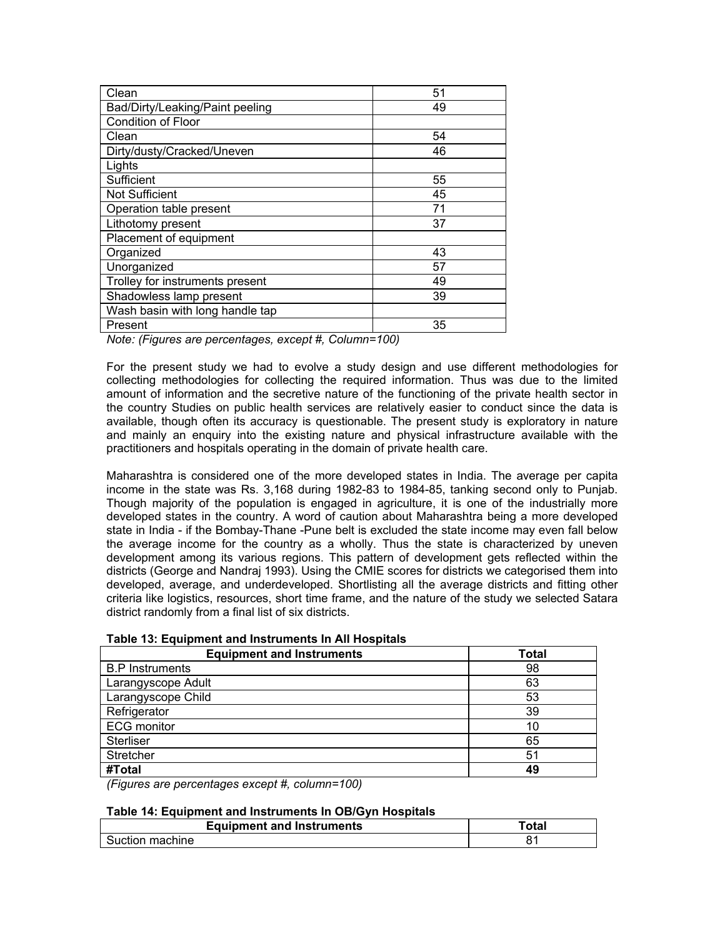| Clean                           | 51 |
|---------------------------------|----|
| Bad/Dirty/Leaking/Paint peeling | 49 |
| Condition of Floor              |    |
| Clean                           | 54 |
| Dirty/dusty/Cracked/Uneven      | 46 |
| Lights                          |    |
| Sufficient                      | 55 |
| <b>Not Sufficient</b>           | 45 |
| Operation table present         | 71 |
| Lithotomy present               | 37 |
| Placement of equipment          |    |
| Organized                       | 43 |
| Unorganized                     | 57 |
| Trolley for instruments present | 49 |
| Shadowless lamp present         | 39 |
| Wash basin with long handle tap |    |
| Present                         | 35 |

*Note: (Figures are percentages, except #, Column=100)* 

For the present study we had to evolve a study design and use different methodologies for collecting methodologies for collecting the required information. Thus was due to the limited amount of information and the secretive nature of the functioning of the private health sector in the country Studies on public health services are relatively easier to conduct since the data is available, though often its accuracy is questionable. The present study is exploratory in nature and mainly an enquiry into the existing nature and physical infrastructure available with the practitioners and hospitals operating in the domain of private health care.

Maharashtra is considered one of the more developed states in India. The average per capita income in the state was Rs. 3,168 during 1982-83 to 1984-85, tanking second only to Punjab. Though majority of the population is engaged in agriculture, it is one of the industrially more developed states in the country. A word of caution about Maharashtra being a more developed state in India - if the Bombay-Thane -Pune belt is excluded the state income may even fall below the average income for the country as a wholly. Thus the state is characterized by uneven development among its various regions. This pattern of development gets reflected within the districts (George and Nandraj 1993). Using the CMIE scores for districts we categorised them into developed, average, and underdeveloped. Shortlisting all the average districts and fitting other criteria like logistics, resources, short time frame, and the nature of the study we selected Satara district randomly from a final list of six districts.

| <b>Equipment and Instruments</b> | <b>Total</b> |
|----------------------------------|--------------|
| <b>B.P</b> Instruments           | 98           |
| Larangyscope Adult               | 63           |
| Larangyscope Child               | 53           |
| Refrigerator                     | 39           |
| <b>ECG</b> monitor               | 10           |
| <b>Sterliser</b>                 | 65           |
| Stretcher                        | 51           |
| #Total                           | 49           |

*(Figures are percentages except #, column=100)* 

### **Table 14: Equipment and Instruments In OB/Gyn Hospitals**

| <b>Equipment and Instruments</b> | ⊺otal |
|----------------------------------|-------|
| Suction machine                  |       |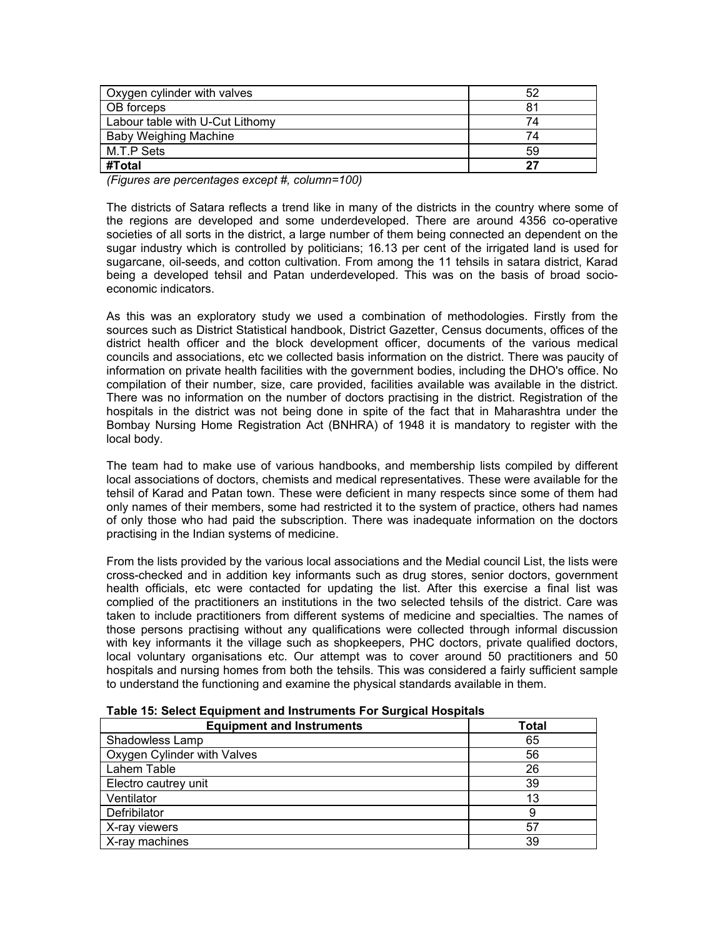| Oxygen cylinder with valves     | 52 |
|---------------------------------|----|
| OB forceps                      | 81 |
| Labour table with U-Cut Lithomy | 74 |
| <b>Baby Weighing Machine</b>    | 74 |
| M.T.P Sets                      | 59 |
| #Total                          | 27 |

*(Figures are percentages except #, column=100)* 

The districts of Satara reflects a trend like in many of the districts in the country where some of the regions are developed and some underdeveloped. There are around 4356 co-operative societies of all sorts in the district, a large number of them being connected an dependent on the sugar industry which is controlled by politicians; 16.13 per cent of the irrigated land is used for sugarcane, oil-seeds, and cotton cultivation. From among the 11 tehsils in satara district, Karad being a developed tehsil and Patan underdeveloped. This was on the basis of broad socioeconomic indicators.

As this was an exploratory study we used a combination of methodologies. Firstly from the sources such as District Statistical handbook, District Gazetter, Census documents, offices of the district health officer and the block development officer, documents of the various medical councils and associations, etc we collected basis information on the district. There was paucity of information on private health facilities with the government bodies, including the DHO's office. No compilation of their number, size, care provided, facilities available was available in the district. There was no information on the number of doctors practising in the district. Registration of the hospitals in the district was not being done in spite of the fact that in Maharashtra under the Bombay Nursing Home Registration Act (BNHRA) of 1948 it is mandatory to register with the local body.

The team had to make use of various handbooks, and membership lists compiled by different local associations of doctors, chemists and medical representatives. These were available for the tehsil of Karad and Patan town. These were deficient in many respects since some of them had only names of their members, some had restricted it to the system of practice, others had names of only those who had paid the subscription. There was inadequate information on the doctors practising in the Indian systems of medicine.

From the lists provided by the various local associations and the Medial council List, the lists were cross-checked and in addition key informants such as drug stores, senior doctors, government health officials, etc were contacted for updating the list. After this exercise a final list was complied of the practitioners an institutions in the two selected tehsils of the district. Care was taken to include practitioners from different systems of medicine and specialties. The names of those persons practising without any qualifications were collected through informal discussion with key informants it the village such as shopkeepers, PHC doctors, private qualified doctors, local voluntary organisations etc. Our attempt was to cover around 50 practitioners and 50 hospitals and nursing homes from both the tehsils. This was considered a fairly sufficient sample to understand the functioning and examine the physical standards available in them.

| <b>Equipment and Instruments</b> | <b>Total</b> |
|----------------------------------|--------------|
| Shadowless Lamp                  | 65           |
| Oxygen Cylinder with Valves      | 56           |
| Lahem Table                      | 26           |
| Electro cautrey unit             | 39           |
| Ventilator                       | 13           |
| Defribilator                     | 9            |
| X-ray viewers                    | 57           |
| X-ray machines                   | 39           |

**Table 15: Select Equipment and Instruments For Surgical Hospitals**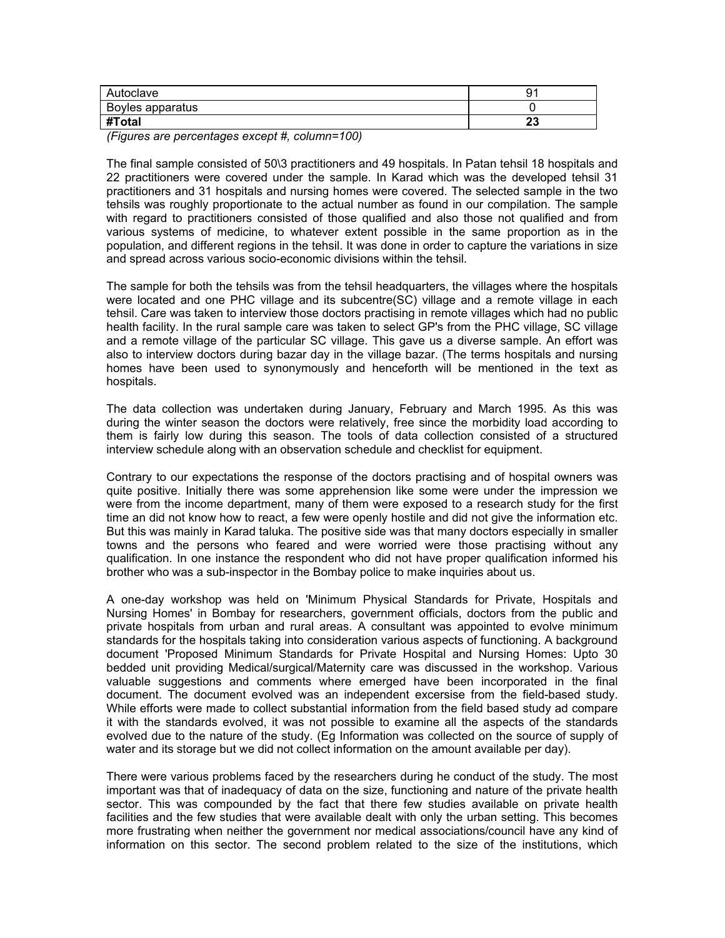| Autoclave        | a<br>J.  |
|------------------|----------|
| Boyles apparatus |          |
| #Total           | n.<br>ΔU |

*(Figures are percentages except #, column=100)* 

The final sample consisted of 50\3 practitioners and 49 hospitals. In Patan tehsil 18 hospitals and 22 practitioners were covered under the sample. In Karad which was the developed tehsil 31 practitioners and 31 hospitals and nursing homes were covered. The selected sample in the two tehsils was roughly proportionate to the actual number as found in our compilation. The sample with regard to practitioners consisted of those qualified and also those not qualified and from various systems of medicine, to whatever extent possible in the same proportion as in the population, and different regions in the tehsil. It was done in order to capture the variations in size and spread across various socio-economic divisions within the tehsil.

The sample for both the tehsils was from the tehsil headquarters, the villages where the hospitals were located and one PHC village and its subcentre(SC) village and a remote village in each tehsil. Care was taken to interview those doctors practising in remote villages which had no public health facility. In the rural sample care was taken to select GP's from the PHC village, SC village and a remote village of the particular SC village. This gave us a diverse sample. An effort was also to interview doctors during bazar day in the village bazar. (The terms hospitals and nursing homes have been used to synonymously and henceforth will be mentioned in the text as hospitals.

The data collection was undertaken during January, February and March 1995. As this was during the winter season the doctors were relatively, free since the morbidity load according to them is fairly low during this season. The tools of data collection consisted of a structured interview schedule along with an observation schedule and checklist for equipment.

Contrary to our expectations the response of the doctors practising and of hospital owners was quite positive. Initially there was some apprehension like some were under the impression we were from the income department, many of them were exposed to a research study for the first time an did not know how to react, a few were openly hostile and did not give the information etc. But this was mainly in Karad taluka. The positive side was that many doctors especially in smaller towns and the persons who feared and were worried were those practising without any qualification. In one instance the respondent who did not have proper qualification informed his brother who was a sub-inspector in the Bombay police to make inquiries about us.

A one-day workshop was held on 'Minimum Physical Standards for Private, Hospitals and Nursing Homes' in Bombay for researchers, government officials, doctors from the public and private hospitals from urban and rural areas. A consultant was appointed to evolve minimum standards for the hospitals taking into consideration various aspects of functioning. A background document 'Proposed Minimum Standards for Private Hospital and Nursing Homes: Upto 30 bedded unit providing Medical/surgical/Maternity care was discussed in the workshop. Various valuable suggestions and comments where emerged have been incorporated in the final document. The document evolved was an independent excersise from the field-based study. While efforts were made to collect substantial information from the field based study ad compare it with the standards evolved, it was not possible to examine all the aspects of the standards evolved due to the nature of the study. (Eg Information was collected on the source of supply of water and its storage but we did not collect information on the amount available per day).

There were various problems faced by the researchers during he conduct of the study. The most important was that of inadequacy of data on the size, functioning and nature of the private health sector. This was compounded by the fact that there few studies available on private health facilities and the few studies that were available dealt with only the urban setting. This becomes more frustrating when neither the government nor medical associations/council have any kind of information on this sector. The second problem related to the size of the institutions, which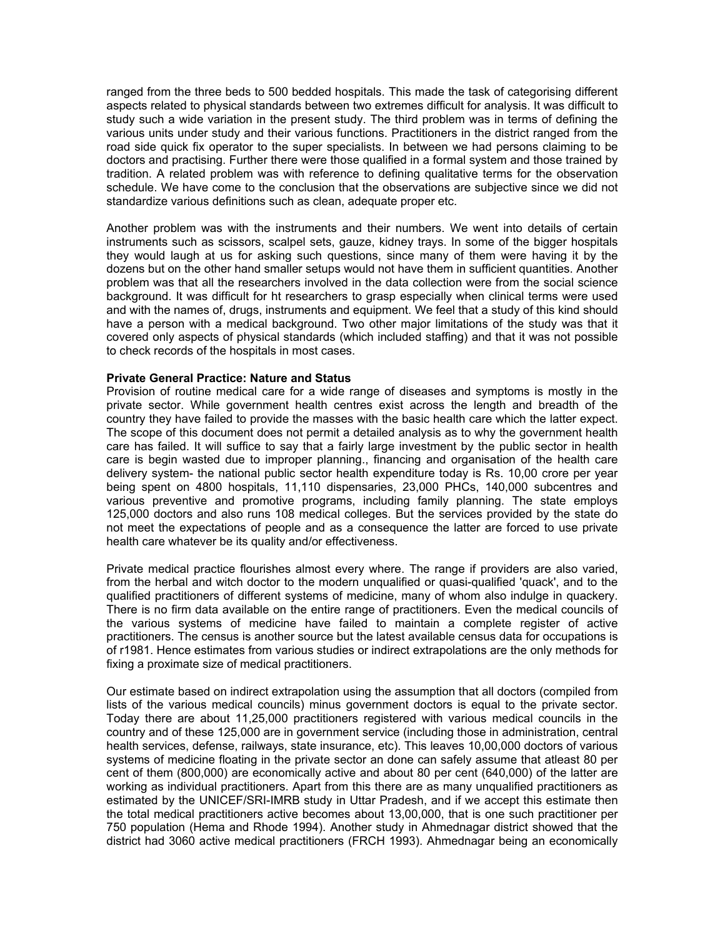ranged from the three beds to 500 bedded hospitals. This made the task of categorising different aspects related to physical standards between two extremes difficult for analysis. It was difficult to study such a wide variation in the present study. The third problem was in terms of defining the various units under study and their various functions. Practitioners in the district ranged from the road side quick fix operator to the super specialists. In between we had persons claiming to be doctors and practising. Further there were those qualified in a formal system and those trained by tradition. A related problem was with reference to defining qualitative terms for the observation schedule. We have come to the conclusion that the observations are subjective since we did not standardize various definitions such as clean, adequate proper etc.

Another problem was with the instruments and their numbers. We went into details of certain instruments such as scissors, scalpel sets, gauze, kidney trays. In some of the bigger hospitals they would laugh at us for asking such questions, since many of them were having it by the dozens but on the other hand smaller setups would not have them in sufficient quantities. Another problem was that all the researchers involved in the data collection were from the social science background. It was difficult for ht researchers to grasp especially when clinical terms were used and with the names of, drugs, instruments and equipment. We feel that a study of this kind should have a person with a medical background. Two other major limitations of the study was that it covered only aspects of physical standards (which included staffing) and that it was not possible to check records of the hospitals in most cases.

#### **Private General Practice: Nature and Status**

Provision of routine medical care for a wide range of diseases and symptoms is mostly in the private sector. While government health centres exist across the length and breadth of the country they have failed to provide the masses with the basic health care which the latter expect. The scope of this document does not permit a detailed analysis as to why the government health care has failed. It will suffice to say that a fairly large investment by the public sector in health care is begin wasted due to improper planning., financing and organisation of the health care delivery system- the national public sector health expenditure today is Rs. 10,00 crore per year being spent on 4800 hospitals, 11,110 dispensaries, 23,000 PHCs, 140,000 subcentres and various preventive and promotive programs, including family planning. The state employs 125,000 doctors and also runs 108 medical colleges. But the services provided by the state do not meet the expectations of people and as a consequence the latter are forced to use private health care whatever be its quality and/or effectiveness.

Private medical practice flourishes almost every where. The range if providers are also varied, from the herbal and witch doctor to the modern unqualified or quasi-qualified 'quack', and to the qualified practitioners of different systems of medicine, many of whom also indulge in quackery. There is no firm data available on the entire range of practitioners. Even the medical councils of the various systems of medicine have failed to maintain a complete register of active practitioners. The census is another source but the latest available census data for occupations is of r1981. Hence estimates from various studies or indirect extrapolations are the only methods for fixing a proximate size of medical practitioners.

Our estimate based on indirect extrapolation using the assumption that all doctors (compiled from lists of the various medical councils) minus government doctors is equal to the private sector. Today there are about 11,25,000 practitioners registered with various medical councils in the country and of these 125,000 are in government service (including those in administration, central health services, defense, railways, state insurance, etc). This leaves 10,00,000 doctors of various systems of medicine floating in the private sector an done can safely assume that atleast 80 per cent of them (800,000) are economically active and about 80 per cent (640,000) of the latter are working as individual practitioners. Apart from this there are as many unqualified practitioners as estimated by the UNICEF/SRI-IMRB study in Uttar Pradesh, and if we accept this estimate then the total medical practitioners active becomes about 13,00,000, that is one such practitioner per 750 population (Hema and Rhode 1994). Another study in Ahmednagar district showed that the district had 3060 active medical practitioners (FRCH 1993). Ahmednagar being an economically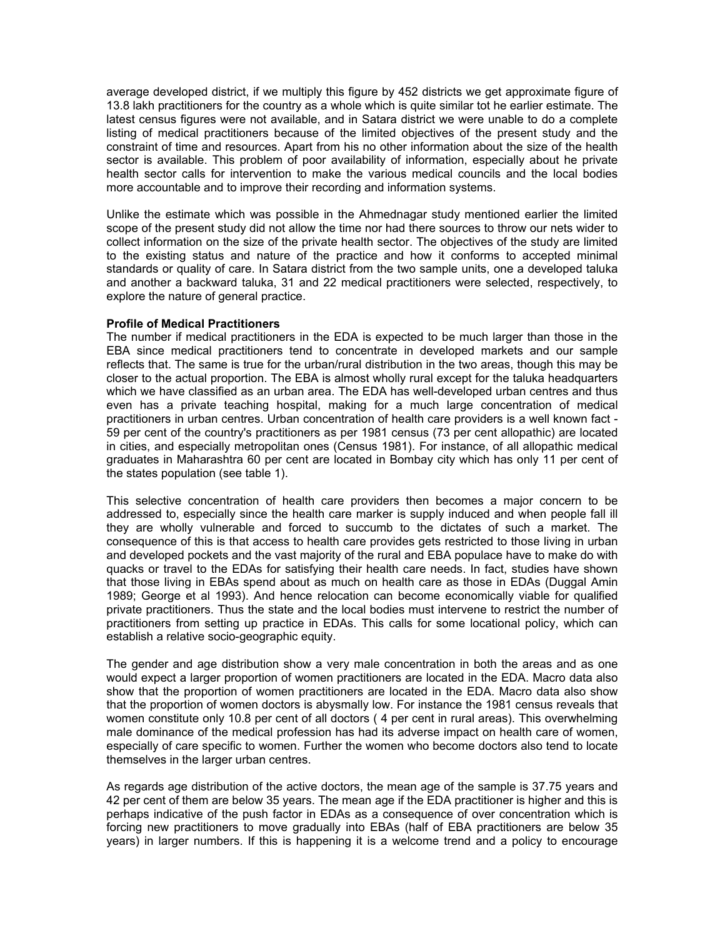average developed district, if we multiply this figure by 452 districts we get approximate figure of 13.8 lakh practitioners for the country as a whole which is quite similar tot he earlier estimate. The latest census figures were not available, and in Satara district we were unable to do a complete listing of medical practitioners because of the limited objectives of the present study and the constraint of time and resources. Apart from his no other information about the size of the health sector is available. This problem of poor availability of information, especially about he private health sector calls for intervention to make the various medical councils and the local bodies more accountable and to improve their recording and information systems.

Unlike the estimate which was possible in the Ahmednagar study mentioned earlier the limited scope of the present study did not allow the time nor had there sources to throw our nets wider to collect information on the size of the private health sector. The objectives of the study are limited to the existing status and nature of the practice and how it conforms to accepted minimal standards or quality of care. In Satara district from the two sample units, one a developed taluka and another a backward taluka, 31 and 22 medical practitioners were selected, respectively, to explore the nature of general practice.

### **Profile of Medical Practitioners**

The number if medical practitioners in the EDA is expected to be much larger than those in the EBA since medical practitioners tend to concentrate in developed markets and our sample reflects that. The same is true for the urban/rural distribution in the two areas, though this may be closer to the actual proportion. The EBA is almost wholly rural except for the taluka headquarters which we have classified as an urban area. The EDA has well-developed urban centres and thus even has a private teaching hospital, making for a much large concentration of medical practitioners in urban centres. Urban concentration of health care providers is a well known fact - 59 per cent of the country's practitioners as per 1981 census (73 per cent allopathic) are located in cities, and especially metropolitan ones (Census 1981). For instance, of all allopathic medical graduates in Maharashtra 60 per cent are located in Bombay city which has only 11 per cent of the states population (see table 1).

This selective concentration of health care providers then becomes a major concern to be addressed to, especially since the health care marker is supply induced and when people fall ill they are wholly vulnerable and forced to succumb to the dictates of such a market. The consequence of this is that access to health care provides gets restricted to those living in urban and developed pockets and the vast majority of the rural and EBA populace have to make do with quacks or travel to the EDAs for satisfying their health care needs. In fact, studies have shown that those living in EBAs spend about as much on health care as those in EDAs (Duggal Amin 1989; George et al 1993). And hence relocation can become economically viable for qualified private practitioners. Thus the state and the local bodies must intervene to restrict the number of practitioners from setting up practice in EDAs. This calls for some locational policy, which can establish a relative socio-geographic equity.

The gender and age distribution show a very male concentration in both the areas and as one would expect a larger proportion of women practitioners are located in the EDA. Macro data also show that the proportion of women practitioners are located in the EDA. Macro data also show that the proportion of women doctors is abysmally low. For instance the 1981 census reveals that women constitute only 10.8 per cent of all doctors ( 4 per cent in rural areas). This overwhelming male dominance of the medical profession has had its adverse impact on health care of women, especially of care specific to women. Further the women who become doctors also tend to locate themselves in the larger urban centres.

As regards age distribution of the active doctors, the mean age of the sample is 37.75 years and 42 per cent of them are below 35 years. The mean age if the EDA practitioner is higher and this is perhaps indicative of the push factor in EDAs as a consequence of over concentration which is forcing new practitioners to move gradually into EBAs (half of EBA practitioners are below 35 years) in larger numbers. If this is happening it is a welcome trend and a policy to encourage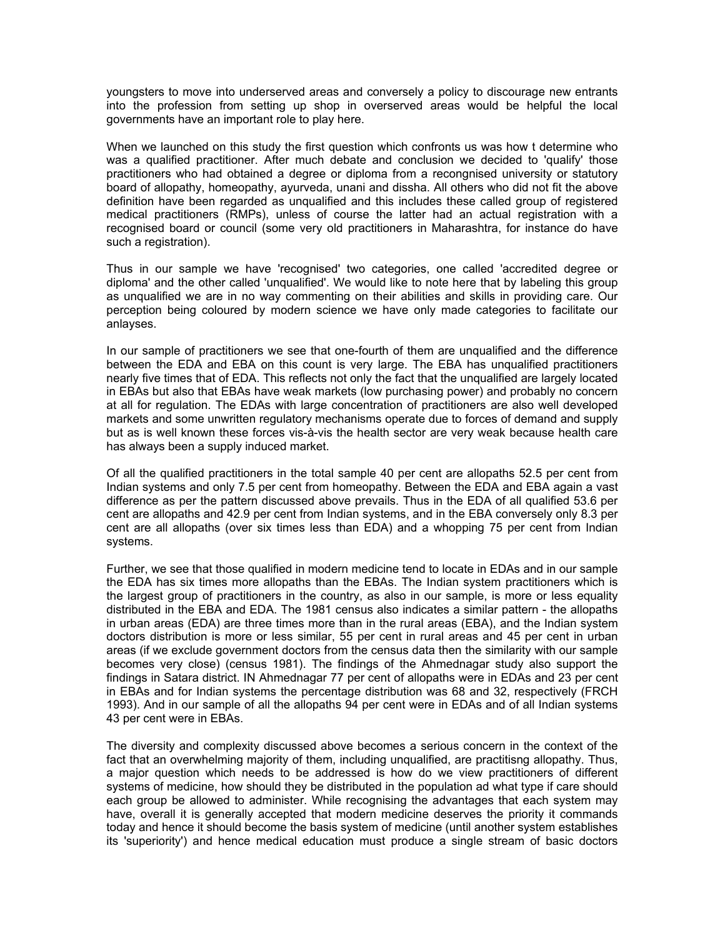youngsters to move into underserved areas and conversely a policy to discourage new entrants into the profession from setting up shop in overserved areas would be helpful the local governments have an important role to play here.

When we launched on this study the first question which confronts us was how t determine who was a qualified practitioner. After much debate and conclusion we decided to 'qualify' those practitioners who had obtained a degree or diploma from a recongnised university or statutory board of allopathy, homeopathy, ayurveda, unani and dissha. All others who did not fit the above definition have been regarded as unqualified and this includes these called group of registered medical practitioners (RMPs), unless of course the latter had an actual registration with a recognised board or council (some very old practitioners in Maharashtra, for instance do have such a registration).

Thus in our sample we have 'recognised' two categories, one called 'accredited degree or diploma' and the other called 'unqualified'. We would like to note here that by labeling this group as unqualified we are in no way commenting on their abilities and skills in providing care. Our perception being coloured by modern science we have only made categories to facilitate our anlayses.

In our sample of practitioners we see that one-fourth of them are unqualified and the difference between the EDA and EBA on this count is very large. The EBA has unqualified practitioners nearly five times that of EDA. This reflects not only the fact that the unqualified are largely located in EBAs but also that EBAs have weak markets (low purchasing power) and probably no concern at all for regulation. The EDAs with large concentration of practitioners are also well developed markets and some unwritten regulatory mechanisms operate due to forces of demand and supply but as is well known these forces vis-à-vis the health sector are very weak because health care has always been a supply induced market.

Of all the qualified practitioners in the total sample 40 per cent are allopaths 52.5 per cent from Indian systems and only 7.5 per cent from homeopathy. Between the EDA and EBA again a vast difference as per the pattern discussed above prevails. Thus in the EDA of all qualified 53.6 per cent are allopaths and 42.9 per cent from Indian systems, and in the EBA conversely only 8.3 per cent are all allopaths (over six times less than EDA) and a whopping 75 per cent from Indian systems.

Further, we see that those qualified in modern medicine tend to locate in EDAs and in our sample the EDA has six times more allopaths than the EBAs. The Indian system practitioners which is the largest group of practitioners in the country, as also in our sample, is more or less equality distributed in the EBA and EDA. The 1981 census also indicates a similar pattern - the allopaths in urban areas (EDA) are three times more than in the rural areas (EBA), and the Indian system doctors distribution is more or less similar, 55 per cent in rural areas and 45 per cent in urban areas (if we exclude government doctors from the census data then the similarity with our sample becomes very close) (census 1981). The findings of the Ahmednagar study also support the findings in Satara district. IN Ahmednagar 77 per cent of allopaths were in EDAs and 23 per cent in EBAs and for Indian systems the percentage distribution was 68 and 32, respectively (FRCH 1993). And in our sample of all the allopaths 94 per cent were in EDAs and of all Indian systems 43 per cent were in EBAs.

The diversity and complexity discussed above becomes a serious concern in the context of the fact that an overwhelming majority of them, including unqualified, are practitisng allopathy. Thus, a major question which needs to be addressed is how do we view practitioners of different systems of medicine, how should they be distributed in the population ad what type if care should each group be allowed to administer. While recognising the advantages that each system may have, overall it is generally accepted that modern medicine deserves the priority it commands today and hence it should become the basis system of medicine (until another system establishes its 'superiority') and hence medical education must produce a single stream of basic doctors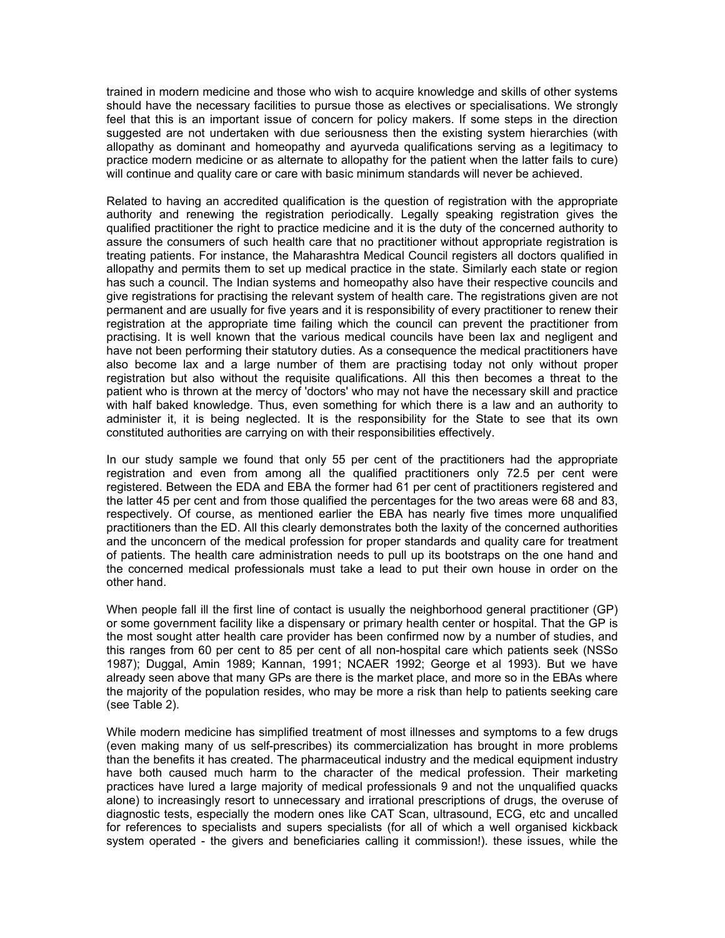trained in modern medicine and those who wish to acquire knowledge and skills of other systems should have the necessary facilities to pursue those as electives or specialisations. We strongly feel that this is an important issue of concern for policy makers. If some steps in the direction suggested are not undertaken with due seriousness then the existing system hierarchies (with allopathy as dominant and homeopathy and ayurveda qualifications serving as a legitimacy to practice modern medicine or as alternate to allopathy for the patient when the latter fails to cure) will continue and quality care or care with basic minimum standards will never be achieved.

Related to having an accredited qualification is the question of registration with the appropriate authority and renewing the registration periodically. Legally speaking registration gives the qualified practitioner the right to practice medicine and it is the duty of the concerned authority to assure the consumers of such health care that no practitioner without appropriate registration is treating patients. For instance, the Maharashtra Medical Council registers all doctors qualified in allopathy and permits them to set up medical practice in the state. Similarly each state or region has such a council. The Indian systems and homeopathy also have their respective councils and give registrations for practising the relevant system of health care. The registrations given are not permanent and are usually for five years and it is responsibility of every practitioner to renew their registration at the appropriate time failing which the council can prevent the practitioner from practising. It is well known that the various medical councils have been lax and negligent and have not been performing their statutory duties. As a consequence the medical practitioners have also become lax and a large number of them are practising today not only without proper registration but also without the requisite qualifications. All this then becomes a threat to the patient who is thrown at the mercy of 'doctors' who may not have the necessary skill and practice with half baked knowledge. Thus, even something for which there is a law and an authority to administer it, it is being neglected. It is the responsibility for the State to see that its own constituted authorities are carrying on with their responsibilities effectively.

In our study sample we found that only 55 per cent of the practitioners had the appropriate registration and even from among all the qualified practitioners only 72.5 per cent were registered. Between the EDA and EBA the former had 61 per cent of practitioners registered and the latter 45 per cent and from those qualified the percentages for the two areas were 68 and 83, respectively. Of course, as mentioned earlier the EBA has nearly five times more unqualified practitioners than the ED. All this clearly demonstrates both the laxity of the concerned authorities and the unconcern of the medical profession for proper standards and quality care for treatment of patients. The health care administration needs to pull up its bootstraps on the one hand and the concerned medical professionals must take a lead to put their own house in order on the other hand.

When people fall ill the first line of contact is usually the neighborhood general practitioner (GP) or some government facility like a dispensary or primary health center or hospital. That the GP is the most sought atter health care provider has been confirmed now by a number of studies, and this ranges from 60 per cent to 85 per cent of all non-hospital care which patients seek (NSSo 1987); Duggal, Amin 1989; Kannan, 1991; NCAER 1992; George et al 1993). But we have already seen above that many GPs are there is the market place, and more so in the EBAs where the majority of the population resides, who may be more a risk than help to patients seeking care (see Table 2).

While modern medicine has simplified treatment of most illnesses and symptoms to a few drugs (even making many of us self-prescribes) its commercialization has brought in more problems than the benefits it has created. The pharmaceutical industry and the medical equipment industry have both caused much harm to the character of the medical profession. Their marketing practices have lured a large majority of medical professionals 9 and not the unqualified quacks alone) to increasingly resort to unnecessary and irrational prescriptions of drugs, the overuse of diagnostic tests, especially the modern ones like CAT Scan, ultrasound, ECG, etc and uncalled for references to specialists and supers specialists (for all of which a well organised kickback system operated - the givers and beneficiaries calling it commission!). these issues, while the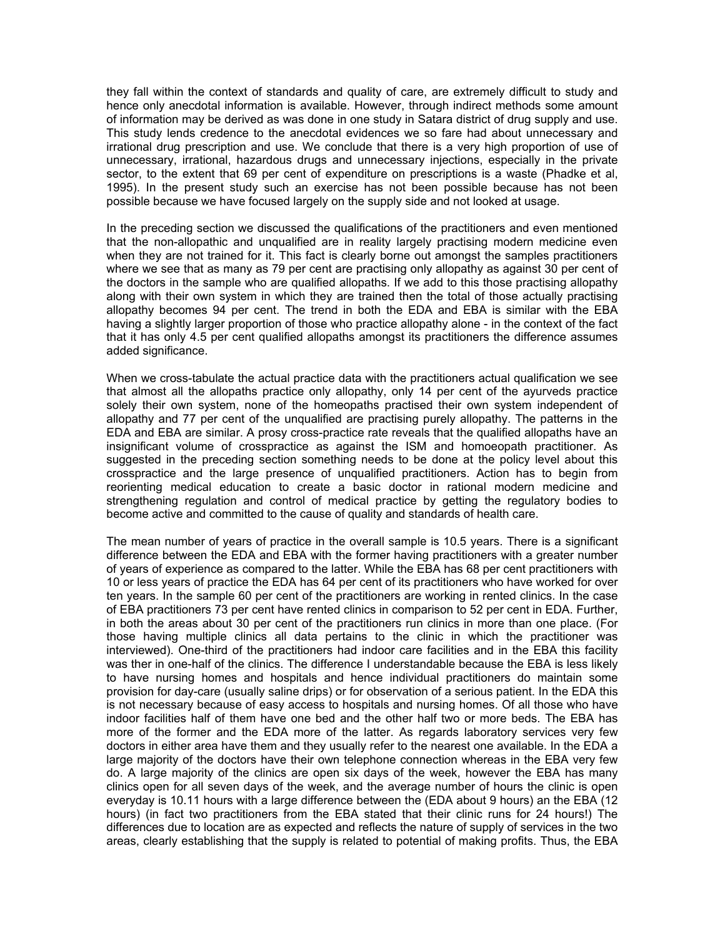they fall within the context of standards and quality of care, are extremely difficult to study and hence only anecdotal information is available. However, through indirect methods some amount of information may be derived as was done in one study in Satara district of drug supply and use. This study lends credence to the anecdotal evidences we so fare had about unnecessary and irrational drug prescription and use. We conclude that there is a very high proportion of use of unnecessary, irrational, hazardous drugs and unnecessary injections, especially in the private sector, to the extent that 69 per cent of expenditure on prescriptions is a waste (Phadke et al, 1995). In the present study such an exercise has not been possible because has not been possible because we have focused largely on the supply side and not looked at usage.

In the preceding section we discussed the qualifications of the practitioners and even mentioned that the non-allopathic and unqualified are in reality largely practising modern medicine even when they are not trained for it. This fact is clearly borne out amongst the samples practitioners where we see that as many as 79 per cent are practising only allopathy as against 30 per cent of the doctors in the sample who are qualified allopaths. If we add to this those practising allopathy along with their own system in which they are trained then the total of those actually practising allopathy becomes 94 per cent. The trend in both the EDA and EBA is similar with the EBA having a slightly larger proportion of those who practice allopathy alone - in the context of the fact that it has only 4.5 per cent qualified allopaths amongst its practitioners the difference assumes added significance.

When we cross-tabulate the actual practice data with the practitioners actual qualification we see that almost all the allopaths practice only allopathy, only 14 per cent of the ayurveds practice solely their own system, none of the homeopaths practised their own system independent of allopathy and 77 per cent of the unqualified are practising purely allopathy. The patterns in the EDA and EBA are similar. A prosy cross-practice rate reveals that the qualified allopaths have an insignificant volume of crosspractice as against the ISM and homoeopath practitioner. As suggested in the preceding section something needs to be done at the policy level about this crosspractice and the large presence of unqualified practitioners. Action has to begin from reorienting medical education to create a basic doctor in rational modern medicine and strengthening regulation and control of medical practice by getting the regulatory bodies to become active and committed to the cause of quality and standards of health care.

The mean number of years of practice in the overall sample is 10.5 years. There is a significant difference between the EDA and EBA with the former having practitioners with a greater number of years of experience as compared to the latter. While the EBA has 68 per cent practitioners with 10 or less years of practice the EDA has 64 per cent of its practitioners who have worked for over ten years. In the sample 60 per cent of the practitioners are working in rented clinics. In the case of EBA practitioners 73 per cent have rented clinics in comparison to 52 per cent in EDA. Further, in both the areas about 30 per cent of the practitioners run clinics in more than one place. (For those having multiple clinics all data pertains to the clinic in which the practitioner was interviewed). One-third of the practitioners had indoor care facilities and in the EBA this facility was ther in one-half of the clinics. The difference I understandable because the EBA is less likely to have nursing homes and hospitals and hence individual practitioners do maintain some provision for day-care (usually saline drips) or for observation of a serious patient. In the EDA this is not necessary because of easy access to hospitals and nursing homes. Of all those who have indoor facilities half of them have one bed and the other half two or more beds. The EBA has more of the former and the EDA more of the latter. As regards laboratory services very few doctors in either area have them and they usually refer to the nearest one available. In the EDA a large majority of the doctors have their own telephone connection whereas in the EBA very few do. A large majority of the clinics are open six days of the week, however the EBA has many clinics open for all seven days of the week, and the average number of hours the clinic is open everyday is 10.11 hours with a large difference between the (EDA about 9 hours) an the EBA (12 hours) (in fact two practitioners from the EBA stated that their clinic runs for 24 hours!) The differences due to location are as expected and reflects the nature of supply of services in the two areas, clearly establishing that the supply is related to potential of making profits. Thus, the EBA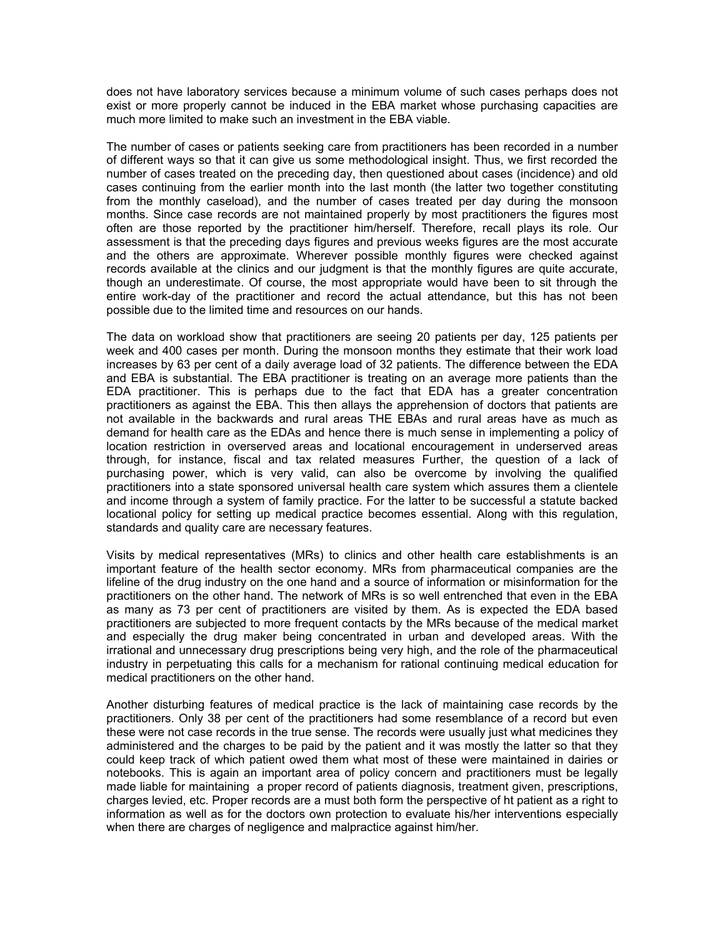does not have laboratory services because a minimum volume of such cases perhaps does not exist or more properly cannot be induced in the EBA market whose purchasing capacities are much more limited to make such an investment in the EBA viable.

The number of cases or patients seeking care from practitioners has been recorded in a number of different ways so that it can give us some methodological insight. Thus, we first recorded the number of cases treated on the preceding day, then questioned about cases (incidence) and old cases continuing from the earlier month into the last month (the latter two together constituting from the monthly caseload), and the number of cases treated per day during the monsoon months. Since case records are not maintained properly by most practitioners the figures most often are those reported by the practitioner him/herself. Therefore, recall plays its role. Our assessment is that the preceding days figures and previous weeks figures are the most accurate and the others are approximate. Wherever possible monthly figures were checked against records available at the clinics and our judgment is that the monthly figures are quite accurate, though an underestimate. Of course, the most appropriate would have been to sit through the entire work-day of the practitioner and record the actual attendance, but this has not been possible due to the limited time and resources on our hands.

The data on workload show that practitioners are seeing 20 patients per day, 125 patients per week and 400 cases per month. During the monsoon months they estimate that their work load increases by 63 per cent of a daily average load of 32 patients. The difference between the EDA and EBA is substantial. The EBA practitioner is treating on an average more patients than the EDA practitioner. This is perhaps due to the fact that EDA has a greater concentration practitioners as against the EBA. This then allays the apprehension of doctors that patients are not available in the backwards and rural areas THE EBAs and rural areas have as much as demand for health care as the EDAs and hence there is much sense in implementing a policy of location restriction in overserved areas and locational encouragement in underserved areas through, for instance, fiscal and tax related measures Further, the question of a lack of purchasing power, which is very valid, can also be overcome by involving the qualified practitioners into a state sponsored universal health care system which assures them a clientele and income through a system of family practice. For the latter to be successful a statute backed locational policy for setting up medical practice becomes essential. Along with this regulation, standards and quality care are necessary features.

Visits by medical representatives (MRs) to clinics and other health care establishments is an important feature of the health sector economy. MRs from pharmaceutical companies are the lifeline of the drug industry on the one hand and a source of information or misinformation for the practitioners on the other hand. The network of MRs is so well entrenched that even in the EBA as many as 73 per cent of practitioners are visited by them. As is expected the EDA based practitioners are subjected to more frequent contacts by the MRs because of the medical market and especially the drug maker being concentrated in urban and developed areas. With the irrational and unnecessary drug prescriptions being very high, and the role of the pharmaceutical industry in perpetuating this calls for a mechanism for rational continuing medical education for medical practitioners on the other hand.

Another disturbing features of medical practice is the lack of maintaining case records by the practitioners. Only 38 per cent of the practitioners had some resemblance of a record but even these were not case records in the true sense. The records were usually just what medicines they administered and the charges to be paid by the patient and it was mostly the latter so that they could keep track of which patient owed them what most of these were maintained in dairies or notebooks. This is again an important area of policy concern and practitioners must be legally made liable for maintaining a proper record of patients diagnosis, treatment given, prescriptions, charges levied, etc. Proper records are a must both form the perspective of ht patient as a right to information as well as for the doctors own protection to evaluate his/her interventions especially when there are charges of negligence and malpractice against him/her.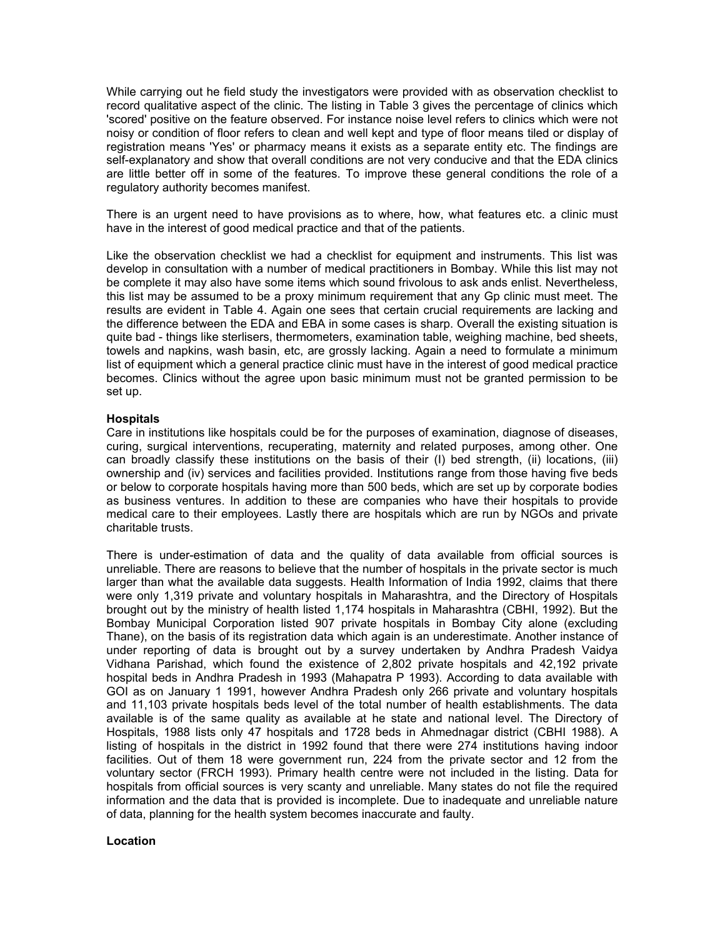While carrying out he field study the investigators were provided with as observation checklist to record qualitative aspect of the clinic. The listing in Table 3 gives the percentage of clinics which 'scored' positive on the feature observed. For instance noise level refers to clinics which were not noisy or condition of floor refers to clean and well kept and type of floor means tiled or display of registration means 'Yes' or pharmacy means it exists as a separate entity etc. The findings are self-explanatory and show that overall conditions are not very conducive and that the EDA clinics are little better off in some of the features. To improve these general conditions the role of a regulatory authority becomes manifest.

There is an urgent need to have provisions as to where, how, what features etc. a clinic must have in the interest of good medical practice and that of the patients.

Like the observation checklist we had a checklist for equipment and instruments. This list was develop in consultation with a number of medical practitioners in Bombay. While this list may not be complete it may also have some items which sound frivolous to ask ands enlist. Nevertheless, this list may be assumed to be a proxy minimum requirement that any Gp clinic must meet. The results are evident in Table 4. Again one sees that certain crucial requirements are lacking and the difference between the EDA and EBA in some cases is sharp. Overall the existing situation is quite bad - things like sterlisers, thermometers, examination table, weighing machine, bed sheets, towels and napkins, wash basin, etc, are grossly lacking. Again a need to formulate a minimum list of equipment which a general practice clinic must have in the interest of good medical practice becomes. Clinics without the agree upon basic minimum must not be granted permission to be set up.

### **Hospitals**

Care in institutions like hospitals could be for the purposes of examination, diagnose of diseases, curing, surgical interventions, recuperating, maternity and related purposes, among other. One can broadly classify these institutions on the basis of their (I) bed strength, (ii) locations, (iii) ownership and (iv) services and facilities provided. Institutions range from those having five beds or below to corporate hospitals having more than 500 beds, which are set up by corporate bodies as business ventures. In addition to these are companies who have their hospitals to provide medical care to their employees. Lastly there are hospitals which are run by NGOs and private charitable trusts.

There is under-estimation of data and the quality of data available from official sources is unreliable. There are reasons to believe that the number of hospitals in the private sector is much larger than what the available data suggests. Health Information of India 1992, claims that there were only 1,319 private and voluntary hospitals in Maharashtra, and the Directory of Hospitals brought out by the ministry of health listed 1,174 hospitals in Maharashtra (CBHI, 1992). But the Bombay Municipal Corporation listed 907 private hospitals in Bombay City alone (excluding Thane), on the basis of its registration data which again is an underestimate. Another instance of under reporting of data is brought out by a survey undertaken by Andhra Pradesh Vaidya Vidhana Parishad, which found the existence of 2,802 private hospitals and 42,192 private hospital beds in Andhra Pradesh in 1993 (Mahapatra P 1993). According to data available with GOI as on January 1 1991, however Andhra Pradesh only 266 private and voluntary hospitals and 11,103 private hospitals beds level of the total number of health establishments. The data available is of the same quality as available at he state and national level. The Directory of Hospitals, 1988 lists only 47 hospitals and 1728 beds in Ahmednagar district (CBHI 1988). A listing of hospitals in the district in 1992 found that there were 274 institutions having indoor facilities. Out of them 18 were government run, 224 from the private sector and 12 from the voluntary sector (FRCH 1993). Primary health centre were not included in the listing. Data for hospitals from official sources is very scanty and unreliable. Many states do not file the required information and the data that is provided is incomplete. Due to inadequate and unreliable nature of data, planning for the health system becomes inaccurate and faulty.

### **Location**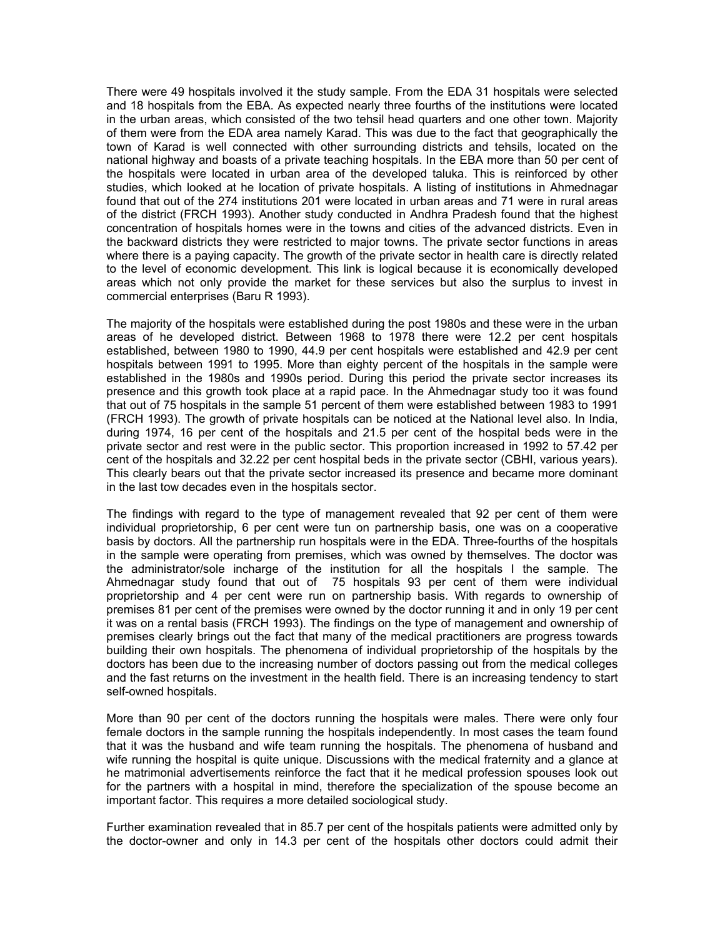There were 49 hospitals involved it the study sample. From the EDA 31 hospitals were selected and 18 hospitals from the EBA. As expected nearly three fourths of the institutions were located in the urban areas, which consisted of the two tehsil head quarters and one other town. Majority of them were from the EDA area namely Karad. This was due to the fact that geographically the town of Karad is well connected with other surrounding districts and tehsils, located on the national highway and boasts of a private teaching hospitals. In the EBA more than 50 per cent of the hospitals were located in urban area of the developed taluka. This is reinforced by other studies, which looked at he location of private hospitals. A listing of institutions in Ahmednagar found that out of the 274 institutions 201 were located in urban areas and 71 were in rural areas of the district (FRCH 1993). Another study conducted in Andhra Pradesh found that the highest concentration of hospitals homes were in the towns and cities of the advanced districts. Even in the backward districts they were restricted to major towns. The private sector functions in areas where there is a paying capacity. The growth of the private sector in health care is directly related to the level of economic development. This link is logical because it is economically developed areas which not only provide the market for these services but also the surplus to invest in commercial enterprises (Baru R 1993).

The majority of the hospitals were established during the post 1980s and these were in the urban areas of he developed district. Between 1968 to 1978 there were 12.2 per cent hospitals established, between 1980 to 1990, 44.9 per cent hospitals were established and 42.9 per cent hospitals between 1991 to 1995. More than eighty percent of the hospitals in the sample were established in the 1980s and 1990s period. During this period the private sector increases its presence and this growth took place at a rapid pace. In the Ahmednagar study too it was found that out of 75 hospitals in the sample 51 percent of them were established between 1983 to 1991 (FRCH 1993). The growth of private hospitals can be noticed at the National level also. In India, during 1974, 16 per cent of the hospitals and 21.5 per cent of the hospital beds were in the private sector and rest were in the public sector. This proportion increased in 1992 to 57.42 per cent of the hospitals and 32.22 per cent hospital beds in the private sector (CBHI, various years). This clearly bears out that the private sector increased its presence and became more dominant in the last tow decades even in the hospitals sector.

The findings with regard to the type of management revealed that 92 per cent of them were individual proprietorship, 6 per cent were tun on partnership basis, one was on a cooperative basis by doctors. All the partnership run hospitals were in the EDA. Three-fourths of the hospitals in the sample were operating from premises, which was owned by themselves. The doctor was the administrator/sole incharge of the institution for all the hospitals I the sample. The Ahmednagar study found that out of 75 hospitals 93 per cent of them were individual proprietorship and 4 per cent were run on partnership basis. With regards to ownership of premises 81 per cent of the premises were owned by the doctor running it and in only 19 per cent it was on a rental basis (FRCH 1993). The findings on the type of management and ownership of premises clearly brings out the fact that many of the medical practitioners are progress towards building their own hospitals. The phenomena of individual proprietorship of the hospitals by the doctors has been due to the increasing number of doctors passing out from the medical colleges and the fast returns on the investment in the health field. There is an increasing tendency to start self-owned hospitals.

More than 90 per cent of the doctors running the hospitals were males. There were only four female doctors in the sample running the hospitals independently. In most cases the team found that it was the husband and wife team running the hospitals. The phenomena of husband and wife running the hospital is quite unique. Discussions with the medical fraternity and a glance at he matrimonial advertisements reinforce the fact that it he medical profession spouses look out for the partners with a hospital in mind, therefore the specialization of the spouse become an important factor. This requires a more detailed sociological study.

Further examination revealed that in 85.7 per cent of the hospitals patients were admitted only by the doctor-owner and only in 14.3 per cent of the hospitals other doctors could admit their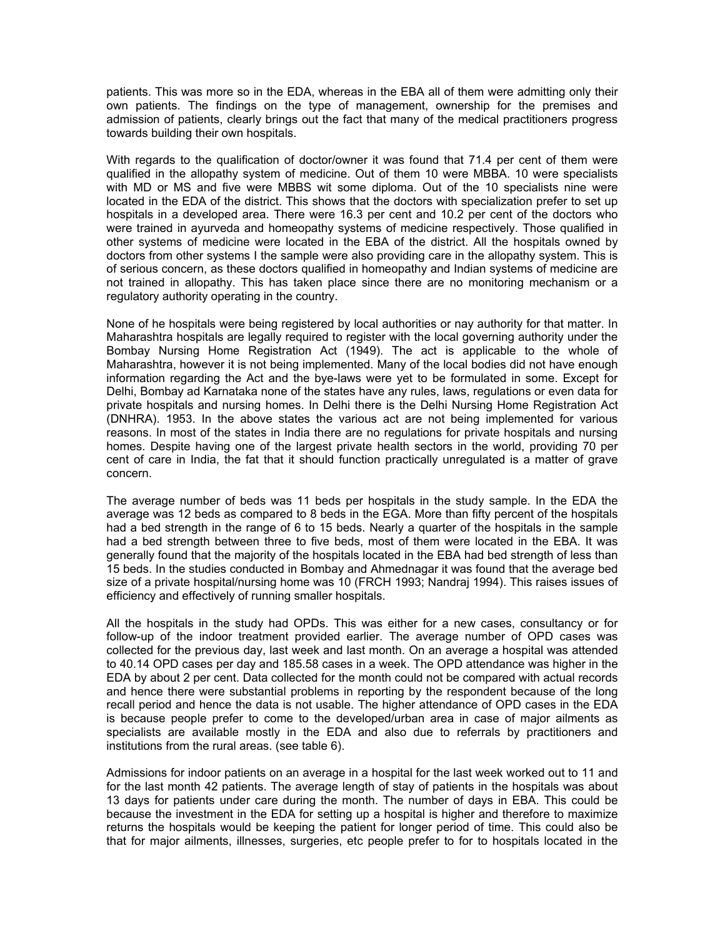patients. This was more so in the EDA, whereas in the EBA all of them were admitting only their own patients. The findings on the type of management, ownership for the premises and admission of patients, clearly brings out the fact that many of the medical practitioners progress towards building their own hospitals.

With regards to the qualification of doctor/owner it was found that 71.4 per cent of them were qualified in the allopathy system of medicine. Out of them 10 were MBBA. 10 were specialists with MD or MS and five were MBBS wit some diploma. Out of the 10 specialists nine were located in the EDA of the district. This shows that the doctors with specialization prefer to set up hospitals in a developed area. There were 16.3 per cent and 10.2 per cent of the doctors who were trained in ayurveda and homeopathy systems of medicine respectively. Those qualified in other systems of medicine were located in the EBA of the district. All the hospitals owned by doctors from other systems I the sample were also providing care in the allopathy system. This is of serious concern, as these doctors qualified in homeopathy and Indian systems of medicine are not trained in allopathy. This has taken place since there are no monitoring mechanism or a regulatory authority operating in the country.

None of he hospitals were being registered by local authorities or nay authority for that matter. In Maharashtra hospitals are legally required to register with the local governing authority under the Bombay Nursing Home Registration Act (1949). The act is applicable to the whole of Maharashtra, however it is not being implemented. Many of the local bodies did not have enough information regarding the Act and the bye-laws were yet to be formulated in some. Except for Delhi, Bombay ad Karnataka none of the states have any rules, laws, regulations or even data for private hospitals and nursing homes. In Delhi there is the Delhi Nursing Home Registration Act (DNHRA). 1953. In the above states the various act are not being implemented for various reasons. In most of the states in India there are no regulations for private hospitals and nursing homes. Despite having one of the largest private health sectors in the world, providing 70 per cent of care in India, the fat that it should function practically unregulated is a matter of grave concern.

The average number of beds was 11 beds per hospitals in the study sample. In the EDA the average was 12 beds as compared to 8 beds in the EGA. More than fifty percent of the hospitals had a bed strength in the range of 6 to 15 beds. Nearly a quarter of the hospitals in the sample had a bed strength between three to five beds, most of them were located in the EBA. It was generally found that the majority of the hospitals located in the EBA had bed strength of less than 15 beds. In the studies conducted in Bombay and Ahmednagar it was found that the average bed size of a private hospital/nursing home was 10 (FRCH 1993; Nandraj 1994). This raises issues of efficiency and effectively of running smaller hospitals.

All the hospitals in the study had OPDs. This was either for a new cases, consultancy or for follow-up of the indoor treatment provided earlier. The average number of OPD cases was collected for the previous day, last week and last month. On an average a hospital was attended to 40.14 OPD cases per day and 185.58 cases in a week. The OPD attendance was higher in the EDA by about 2 per cent. Data collected for the month could not be compared with actual records and hence there were substantial problems in reporting by the respondent because of the long recall period and hence the data is not usable. The higher attendance of OPD cases in the EDA is because people prefer to come to the developed/urban area in case of major ailments as specialists are available mostly in the EDA and also due to referrals by practitioners and institutions from the rural areas. (see table 6).

Admissions for indoor patients on an average in a hospital for the last week worked out to 11 and for the last month 42 patients. The average length of stay of patients in the hospitals was about 13 days for patients under care during the month. The number of days in EBA. This could be because the investment in the EDA for setting up a hospital is higher and therefore to maximize returns the hospitals would be keeping the patient for longer period of time. This could also be that for major ailments, illnesses, surgeries, etc people prefer to for to hospitals located in the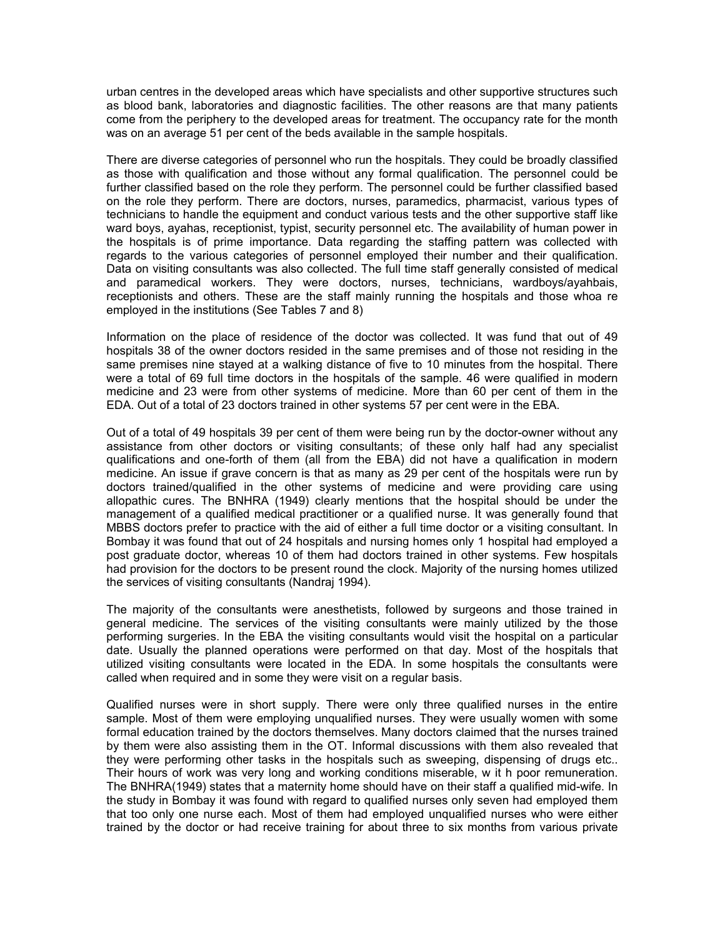urban centres in the developed areas which have specialists and other supportive structures such as blood bank, laboratories and diagnostic facilities. The other reasons are that many patients come from the periphery to the developed areas for treatment. The occupancy rate for the month was on an average 51 per cent of the beds available in the sample hospitals.

There are diverse categories of personnel who run the hospitals. They could be broadly classified as those with qualification and those without any formal qualification. The personnel could be further classified based on the role they perform. The personnel could be further classified based on the role they perform. There are doctors, nurses, paramedics, pharmacist, various types of technicians to handle the equipment and conduct various tests and the other supportive staff like ward boys, ayahas, receptionist, typist, security personnel etc. The availability of human power in the hospitals is of prime importance. Data regarding the staffing pattern was collected with regards to the various categories of personnel employed their number and their qualification. Data on visiting consultants was also collected. The full time staff generally consisted of medical and paramedical workers. They were doctors, nurses, technicians, wardboys/ayahbais, receptionists and others. These are the staff mainly running the hospitals and those whoa re employed in the institutions (See Tables 7 and 8)

Information on the place of residence of the doctor was collected. It was fund that out of 49 hospitals 38 of the owner doctors resided in the same premises and of those not residing in the same premises nine stayed at a walking distance of five to 10 minutes from the hospital. There were a total of 69 full time doctors in the hospitals of the sample. 46 were qualified in modern medicine and 23 were from other systems of medicine. More than 60 per cent of them in the EDA. Out of a total of 23 doctors trained in other systems 57 per cent were in the EBA.

Out of a total of 49 hospitals 39 per cent of them were being run by the doctor-owner without any assistance from other doctors or visiting consultants; of these only half had any specialist qualifications and one-forth of them (all from the EBA) did not have a qualification in modern medicine. An issue if grave concern is that as many as 29 per cent of the hospitals were run by doctors trained/qualified in the other systems of medicine and were providing care using allopathic cures. The BNHRA (1949) clearly mentions that the hospital should be under the management of a qualified medical practitioner or a qualified nurse. It was generally found that MBBS doctors prefer to practice with the aid of either a full time doctor or a visiting consultant. In Bombay it was found that out of 24 hospitals and nursing homes only 1 hospital had employed a post graduate doctor, whereas 10 of them had doctors trained in other systems. Few hospitals had provision for the doctors to be present round the clock. Majority of the nursing homes utilized the services of visiting consultants (Nandraj 1994).

The majority of the consultants were anesthetists, followed by surgeons and those trained in general medicine. The services of the visiting consultants were mainly utilized by the those performing surgeries. In the EBA the visiting consultants would visit the hospital on a particular date. Usually the planned operations were performed on that day. Most of the hospitals that utilized visiting consultants were located in the EDA. In some hospitals the consultants were called when required and in some they were visit on a regular basis.

Qualified nurses were in short supply. There were only three qualified nurses in the entire sample. Most of them were employing unqualified nurses. They were usually women with some formal education trained by the doctors themselves. Many doctors claimed that the nurses trained by them were also assisting them in the OT. Informal discussions with them also revealed that they were performing other tasks in the hospitals such as sweeping, dispensing of drugs etc.. Their hours of work was very long and working conditions miserable, w it h poor remuneration. The BNHRA(1949) states that a maternity home should have on their staff a qualified mid-wife. In the study in Bombay it was found with regard to qualified nurses only seven had employed them that too only one nurse each. Most of them had employed unqualified nurses who were either trained by the doctor or had receive training for about three to six months from various private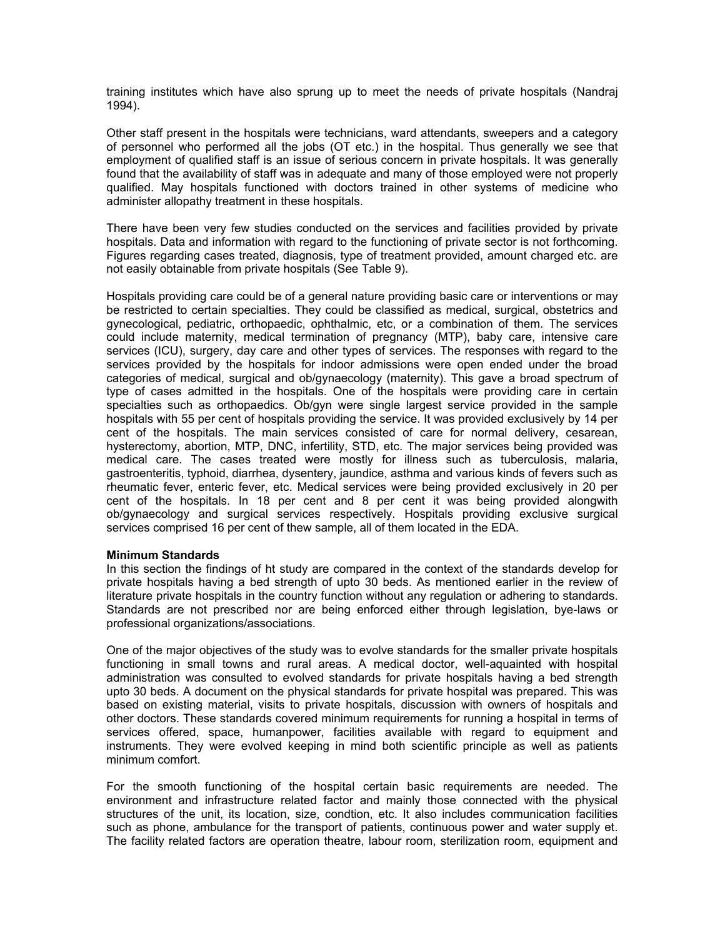training institutes which have also sprung up to meet the needs of private hospitals (Nandraj 1994).

Other staff present in the hospitals were technicians, ward attendants, sweepers and a category of personnel who performed all the jobs (OT etc.) in the hospital. Thus generally we see that employment of qualified staff is an issue of serious concern in private hospitals. It was generally found that the availability of staff was in adequate and many of those employed were not properly qualified. May hospitals functioned with doctors trained in other systems of medicine who administer allopathy treatment in these hospitals.

There have been very few studies conducted on the services and facilities provided by private hospitals. Data and information with regard to the functioning of private sector is not forthcoming. Figures regarding cases treated, diagnosis, type of treatment provided, amount charged etc. are not easily obtainable from private hospitals (See Table 9).

Hospitals providing care could be of a general nature providing basic care or interventions or may be restricted to certain specialties. They could be classified as medical, surgical, obstetrics and gynecological, pediatric, orthopaedic, ophthalmic, etc, or a combination of them. The services could include maternity, medical termination of pregnancy (MTP), baby care, intensive care services (ICU), surgery, day care and other types of services. The responses with regard to the services provided by the hospitals for indoor admissions were open ended under the broad categories of medical, surgical and ob/gynaecology (maternity). This gave a broad spectrum of type of cases admitted in the hospitals. One of the hospitals were providing care in certain specialties such as orthopaedics. Ob/gyn were single largest service provided in the sample hospitals with 55 per cent of hospitals providing the service. It was provided exclusively by 14 per cent of the hospitals. The main services consisted of care for normal delivery, cesarean, hysterectomy, abortion, MTP, DNC, infertility, STD, etc. The major services being provided was medical care. The cases treated were mostly for illness such as tuberculosis, malaria, gastroenteritis, typhoid, diarrhea, dysentery, jaundice, asthma and various kinds of fevers such as rheumatic fever, enteric fever, etc. Medical services were being provided exclusively in 20 per cent of the hospitals. In 18 per cent and 8 per cent it was being provided alongwith ob/gynaecology and surgical services respectively. Hospitals providing exclusive surgical services comprised 16 per cent of thew sample, all of them located in the EDA.

### **Minimum Standards**

In this section the findings of ht study are compared in the context of the standards develop for private hospitals having a bed strength of upto 30 beds. As mentioned earlier in the review of literature private hospitals in the country function without any regulation or adhering to standards. Standards are not prescribed nor are being enforced either through legislation, bye-laws or professional organizations/associations.

One of the major objectives of the study was to evolve standards for the smaller private hospitals functioning in small towns and rural areas. A medical doctor, well-aquainted with hospital administration was consulted to evolved standards for private hospitals having a bed strength upto 30 beds. A document on the physical standards for private hospital was prepared. This was based on existing material, visits to private hospitals, discussion with owners of hospitals and other doctors. These standards covered minimum requirements for running a hospital in terms of services offered, space, humanpower, facilities available with regard to equipment and instruments. They were evolved keeping in mind both scientific principle as well as patients minimum comfort.

For the smooth functioning of the hospital certain basic requirements are needed. The environment and infrastructure related factor and mainly those connected with the physical structures of the unit, its location, size, condtion, etc. It also includes communication facilities such as phone, ambulance for the transport of patients, continuous power and water supply et. The facility related factors are operation theatre, labour room, sterilization room, equipment and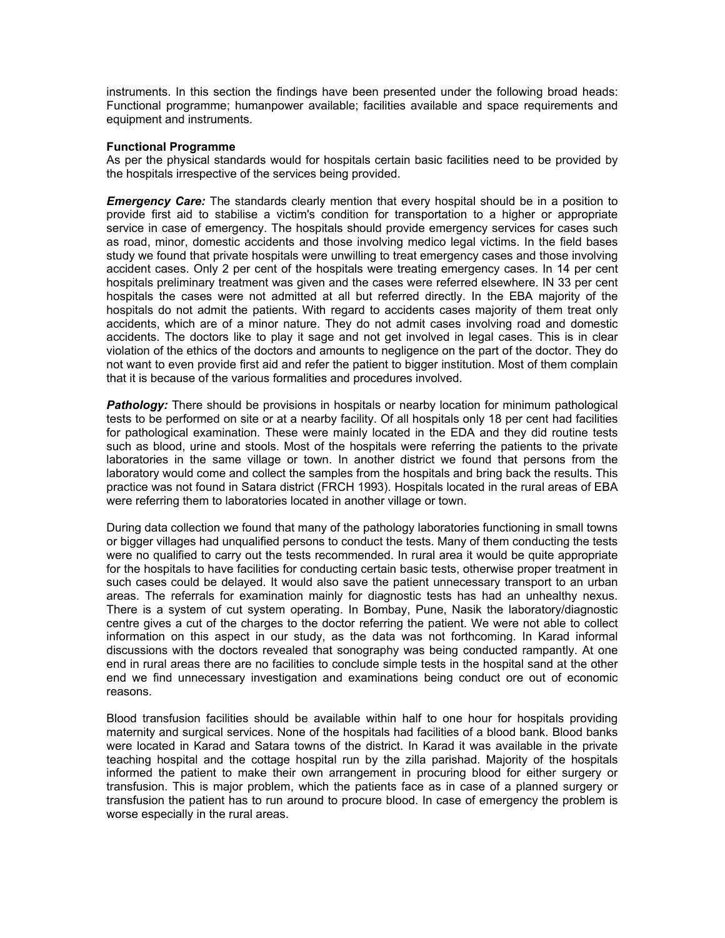instruments. In this section the findings have been presented under the following broad heads: Functional programme; humanpower available; facilities available and space requirements and equipment and instruments.

#### **Functional Programme**

As per the physical standards would for hospitals certain basic facilities need to be provided by the hospitals irrespective of the services being provided.

*Emergency Care:* The standards clearly mention that every hospital should be in a position to provide first aid to stabilise a victim's condition for transportation to a higher or appropriate service in case of emergency. The hospitals should provide emergency services for cases such as road, minor, domestic accidents and those involving medico legal victims. In the field bases study we found that private hospitals were unwilling to treat emergency cases and those involving accident cases. Only 2 per cent of the hospitals were treating emergency cases. In 14 per cent hospitals preliminary treatment was given and the cases were referred elsewhere. IN 33 per cent hospitals the cases were not admitted at all but referred directly. In the EBA majority of the hospitals do not admit the patients. With regard to accidents cases majority of them treat only accidents, which are of a minor nature. They do not admit cases involving road and domestic accidents. The doctors like to play it sage and not get involved in legal cases. This is in clear violation of the ethics of the doctors and amounts to negligence on the part of the doctor. They do not want to even provide first aid and refer the patient to bigger institution. Most of them complain that it is because of the various formalities and procedures involved.

**Pathology:** There should be provisions in hospitals or nearby location for minimum pathological tests to be performed on site or at a nearby facility. Of all hospitals only 18 per cent had facilities for pathological examination. These were mainly located in the EDA and they did routine tests such as blood, urine and stools. Most of the hospitals were referring the patients to the private laboratories in the same village or town. In another district we found that persons from the laboratory would come and collect the samples from the hospitals and bring back the results. This practice was not found in Satara district (FRCH 1993). Hospitals located in the rural areas of EBA were referring them to laboratories located in another village or town.

During data collection we found that many of the pathology laboratories functioning in small towns or bigger villages had unqualified persons to conduct the tests. Many of them conducting the tests were no qualified to carry out the tests recommended. In rural area it would be quite appropriate for the hospitals to have facilities for conducting certain basic tests, otherwise proper treatment in such cases could be delayed. It would also save the patient unnecessary transport to an urban areas. The referrals for examination mainly for diagnostic tests has had an unhealthy nexus. There is a system of cut system operating. In Bombay, Pune, Nasik the laboratory/diagnostic centre gives a cut of the charges to the doctor referring the patient. We were not able to collect information on this aspect in our study, as the data was not forthcoming. In Karad informal discussions with the doctors revealed that sonography was being conducted rampantly. At one end in rural areas there are no facilities to conclude simple tests in the hospital sand at the other end we find unnecessary investigation and examinations being conduct ore out of economic reasons.

Blood transfusion facilities should be available within half to one hour for hospitals providing maternity and surgical services. None of the hospitals had facilities of a blood bank. Blood banks were located in Karad and Satara towns of the district. In Karad it was available in the private teaching hospital and the cottage hospital run by the zilla parishad. Majority of the hospitals informed the patient to make their own arrangement in procuring blood for either surgery or transfusion. This is major problem, which the patients face as in case of a planned surgery or transfusion the patient has to run around to procure blood. In case of emergency the problem is worse especially in the rural areas.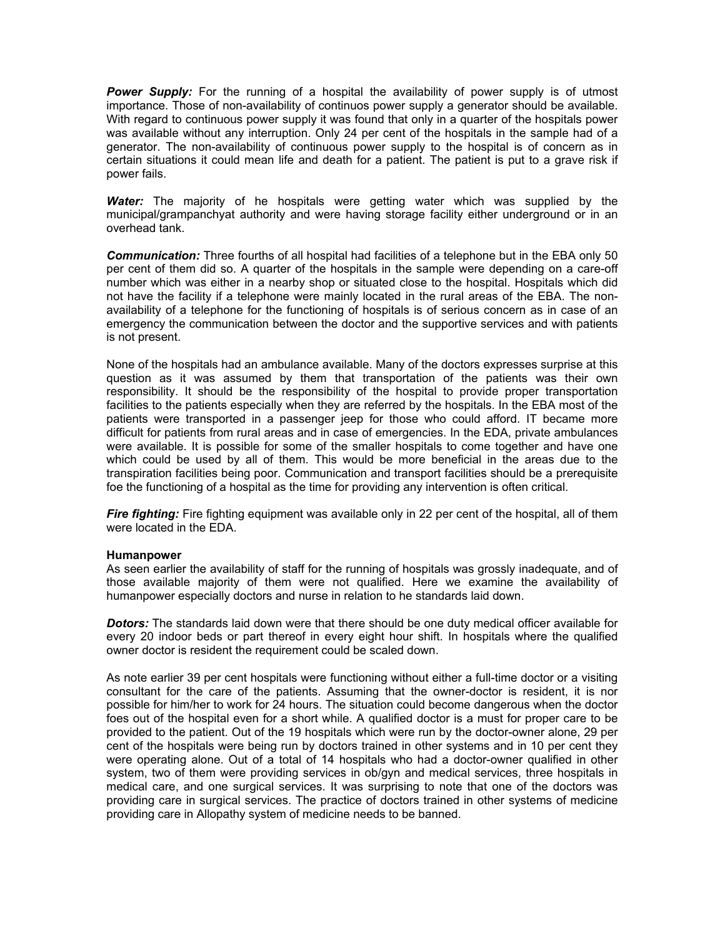**Power Supply:** For the running of a hospital the availability of power supply is of utmost importance. Those of non-availability of continuos power supply a generator should be available. With regard to continuous power supply it was found that only in a quarter of the hospitals power was available without any interruption. Only 24 per cent of the hospitals in the sample had of a generator. The non-availability of continuous power supply to the hospital is of concern as in certain situations it could mean life and death for a patient. The patient is put to a grave risk if power fails.

*Water:* The majority of he hospitals were getting water which was supplied by the municipal/grampanchyat authority and were having storage facility either underground or in an overhead tank.

*Communication:* Three fourths of all hospital had facilities of a telephone but in the EBA only 50 per cent of them did so. A quarter of the hospitals in the sample were depending on a care-off number which was either in a nearby shop or situated close to the hospital. Hospitals which did not have the facility if a telephone were mainly located in the rural areas of the EBA. The nonavailability of a telephone for the functioning of hospitals is of serious concern as in case of an emergency the communication between the doctor and the supportive services and with patients is not present.

None of the hospitals had an ambulance available. Many of the doctors expresses surprise at this question as it was assumed by them that transportation of the patients was their own responsibility. It should be the responsibility of the hospital to provide proper transportation facilities to the patients especially when they are referred by the hospitals. In the EBA most of the patients were transported in a passenger jeep for those who could afford. IT became more difficult for patients from rural areas and in case of emergencies. In the EDA, private ambulances were available. It is possible for some of the smaller hospitals to come together and have one which could be used by all of them. This would be more beneficial in the areas due to the transpiration facilities being poor. Communication and transport facilities should be a prerequisite foe the functioning of a hospital as the time for providing any intervention is often critical.

**Fire fighting:** Fire fighting equipment was available only in 22 per cent of the hospital, all of them were located in the EDA.

#### **Humanpower**

As seen earlier the availability of staff for the running of hospitals was grossly inadequate, and of those available majority of them were not qualified. Here we examine the availability of humanpower especially doctors and nurse in relation to he standards laid down.

*Dotors:* The standards laid down were that there should be one duty medical officer available for every 20 indoor beds or part thereof in every eight hour shift. In hospitals where the qualified owner doctor is resident the requirement could be scaled down.

As note earlier 39 per cent hospitals were functioning without either a full-time doctor or a visiting consultant for the care of the patients. Assuming that the owner-doctor is resident, it is nor possible for him/her to work for 24 hours. The situation could become dangerous when the doctor foes out of the hospital even for a short while. A qualified doctor is a must for proper care to be provided to the patient. Out of the 19 hospitals which were run by the doctor-owner alone, 29 per cent of the hospitals were being run by doctors trained in other systems and in 10 per cent they were operating alone. Out of a total of 14 hospitals who had a doctor-owner qualified in other system, two of them were providing services in ob/gyn and medical services, three hospitals in medical care, and one surgical services. It was surprising to note that one of the doctors was providing care in surgical services. The practice of doctors trained in other systems of medicine providing care in Allopathy system of medicine needs to be banned.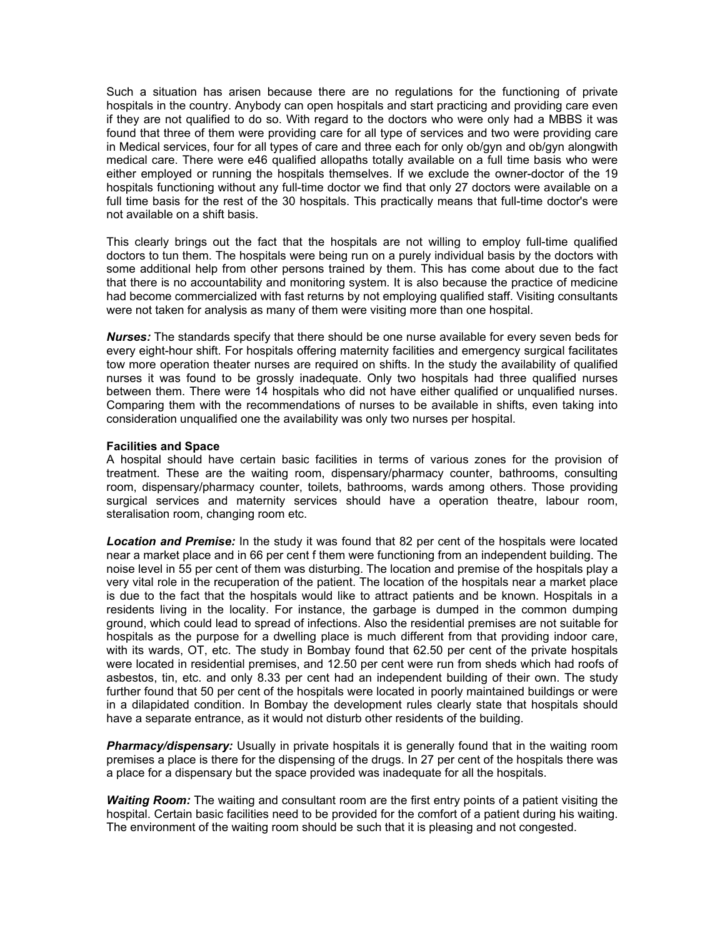Such a situation has arisen because there are no regulations for the functioning of private hospitals in the country. Anybody can open hospitals and start practicing and providing care even if they are not qualified to do so. With regard to the doctors who were only had a MBBS it was found that three of them were providing care for all type of services and two were providing care in Medical services, four for all types of care and three each for only ob/gyn and ob/gyn alongwith medical care. There were e46 qualified allopaths totally available on a full time basis who were either employed or running the hospitals themselves. If we exclude the owner-doctor of the 19 hospitals functioning without any full-time doctor we find that only 27 doctors were available on a full time basis for the rest of the 30 hospitals. This practically means that full-time doctor's were not available on a shift basis.

This clearly brings out the fact that the hospitals are not willing to employ full-time qualified doctors to tun them. The hospitals were being run on a purely individual basis by the doctors with some additional help from other persons trained by them. This has come about due to the fact that there is no accountability and monitoring system. It is also because the practice of medicine had become commercialized with fast returns by not employing qualified staff. Visiting consultants were not taken for analysis as many of them were visiting more than one hospital.

*Nurses:* The standards specify that there should be one nurse available for every seven beds for every eight-hour shift. For hospitals offering maternity facilities and emergency surgical facilitates tow more operation theater nurses are required on shifts. In the study the availability of qualified nurses it was found to be grossly inadequate. Only two hospitals had three qualified nurses between them. There were 14 hospitals who did not have either qualified or unqualified nurses. Comparing them with the recommendations of nurses to be available in shifts, even taking into consideration unqualified one the availability was only two nurses per hospital.

#### **Facilities and Space**

A hospital should have certain basic facilities in terms of various zones for the provision of treatment. These are the waiting room, dispensary/pharmacy counter, bathrooms, consulting room, dispensary/pharmacy counter, toilets, bathrooms, wards among others. Those providing surgical services and maternity services should have a operation theatre, labour room, steralisation room, changing room etc.

*Location and Premise:* In the study it was found that 82 per cent of the hospitals were located near a market place and in 66 per cent f them were functioning from an independent building. The noise level in 55 per cent of them was disturbing. The location and premise of the hospitals play a very vital role in the recuperation of the patient. The location of the hospitals near a market place is due to the fact that the hospitals would like to attract patients and be known. Hospitals in a residents living in the locality. For instance, the garbage is dumped in the common dumping ground, which could lead to spread of infections. Also the residential premises are not suitable for hospitals as the purpose for a dwelling place is much different from that providing indoor care, with its wards, OT, etc. The study in Bombay found that 62.50 per cent of the private hospitals were located in residential premises, and 12.50 per cent were run from sheds which had roofs of asbestos, tin, etc. and only 8.33 per cent had an independent building of their own. The study further found that 50 per cent of the hospitals were located in poorly maintained buildings or were in a dilapidated condition. In Bombay the development rules clearly state that hospitals should have a separate entrance, as it would not disturb other residents of the building.

**Pharmacy/dispensary:** Usually in private hospitals it is generally found that in the waiting room premises a place is there for the dispensing of the drugs. In 27 per cent of the hospitals there was a place for a dispensary but the space provided was inadequate for all the hospitals.

*Waiting Room:* The waiting and consultant room are the first entry points of a patient visiting the hospital. Certain basic facilities need to be provided for the comfort of a patient during his waiting. The environment of the waiting room should be such that it is pleasing and not congested.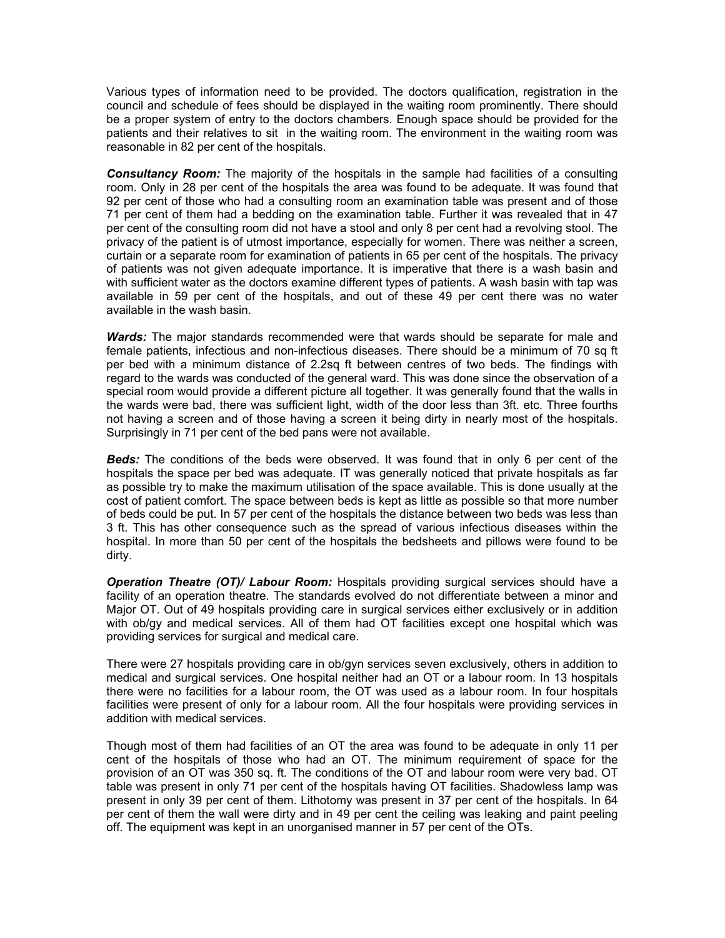Various types of information need to be provided. The doctors qualification, registration in the council and schedule of fees should be displayed in the waiting room prominently. There should be a proper system of entry to the doctors chambers. Enough space should be provided for the patients and their relatives to sit in the waiting room. The environment in the waiting room was reasonable in 82 per cent of the hospitals.

*Consultancy Room:* The majority of the hospitals in the sample had facilities of a consulting room. Only in 28 per cent of the hospitals the area was found to be adequate. It was found that 92 per cent of those who had a consulting room an examination table was present and of those 71 per cent of them had a bedding on the examination table. Further it was revealed that in 47 per cent of the consulting room did not have a stool and only 8 per cent had a revolving stool. The privacy of the patient is of utmost importance, especially for women. There was neither a screen, curtain or a separate room for examination of patients in 65 per cent of the hospitals. The privacy of patients was not given adequate importance. It is imperative that there is a wash basin and with sufficient water as the doctors examine different types of patients. A wash basin with tap was available in 59 per cent of the hospitals, and out of these 49 per cent there was no water available in the wash basin.

*Wards:* The major standards recommended were that wards should be separate for male and female patients, infectious and non-infectious diseases. There should be a minimum of 70 sq ft per bed with a minimum distance of 2.2sq ft between centres of two beds. The findings with regard to the wards was conducted of the general ward. This was done since the observation of a special room would provide a different picture all together. It was generally found that the walls in the wards were bad, there was sufficient light, width of the door less than 3ft. etc. Three fourths not having a screen and of those having a screen it being dirty in nearly most of the hospitals. Surprisingly in 71 per cent of the bed pans were not available.

*Beds:* The conditions of the beds were observed. It was found that in only 6 per cent of the hospitals the space per bed was adequate. IT was generally noticed that private hospitals as far as possible try to make the maximum utilisation of the space available. This is done usually at the cost of patient comfort. The space between beds is kept as little as possible so that more number of beds could be put. In 57 per cent of the hospitals the distance between two beds was less than 3 ft. This has other consequence such as the spread of various infectious diseases within the hospital. In more than 50 per cent of the hospitals the bedsheets and pillows were found to be dirty.

*Operation Theatre (OT)/ Labour Room:* Hospitals providing surgical services should have a facility of an operation theatre. The standards evolved do not differentiate between a minor and Major OT. Out of 49 hospitals providing care in surgical services either exclusively or in addition with ob/gy and medical services. All of them had OT facilities except one hospital which was providing services for surgical and medical care.

There were 27 hospitals providing care in ob/gyn services seven exclusively, others in addition to medical and surgical services. One hospital neither had an OT or a labour room. In 13 hospitals there were no facilities for a labour room, the OT was used as a labour room. In four hospitals facilities were present of only for a labour room. All the four hospitals were providing services in addition with medical services.

Though most of them had facilities of an OT the area was found to be adequate in only 11 per cent of the hospitals of those who had an OT. The minimum requirement of space for the provision of an OT was 350 sq. ft. The conditions of the OT and labour room were very bad. OT table was present in only 71 per cent of the hospitals having OT facilities. Shadowless lamp was present in only 39 per cent of them. Lithotomy was present in 37 per cent of the hospitals. In 64 per cent of them the wall were dirty and in 49 per cent the ceiling was leaking and paint peeling off. The equipment was kept in an unorganised manner in 57 per cent of the OTs.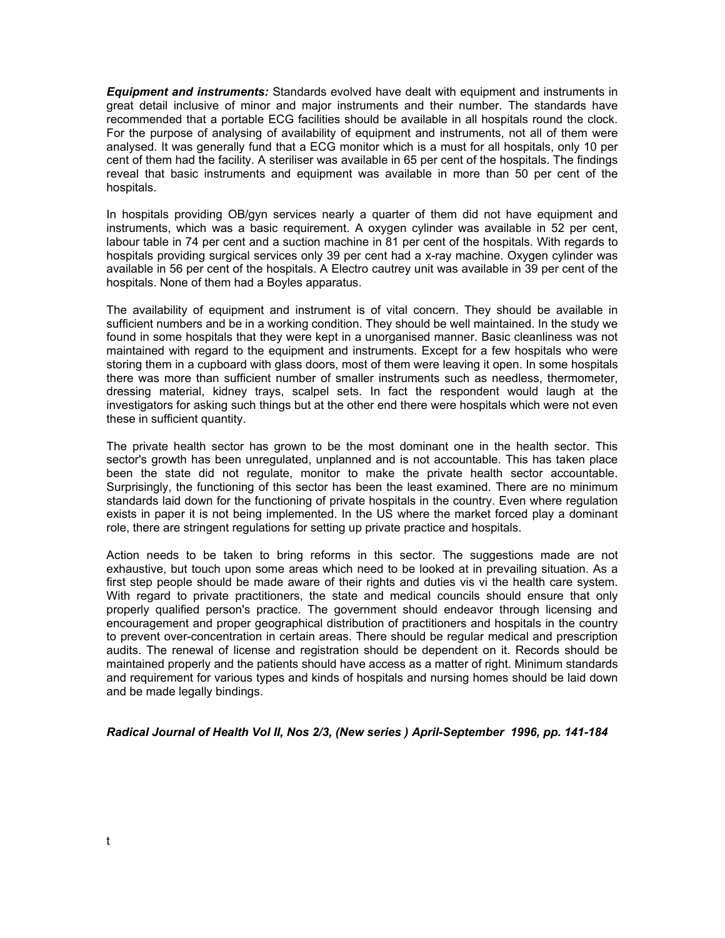*Equipment and instruments:* Standards evolved have dealt with equipment and instruments in great detail inclusive of minor and major instruments and their number. The standards have recommended that a portable ECG facilities should be available in all hospitals round the clock. For the purpose of analysing of availability of equipment and instruments, not all of them were analysed. It was generally fund that a ECG monitor which is a must for all hospitals, only 10 per cent of them had the facility. A steriliser was available in 65 per cent of the hospitals. The findings reveal that basic instruments and equipment was available in more than 50 per cent of the hospitals.

In hospitals providing OB/gyn services nearly a quarter of them did not have equipment and instruments, which was a basic requirement. A oxygen cylinder was available in 52 per cent, labour table in 74 per cent and a suction machine in 81 per cent of the hospitals. With regards to hospitals providing surgical services only 39 per cent had a x-ray machine. Oxygen cylinder was available in 56 per cent of the hospitals. A Electro cautrey unit was available in 39 per cent of the hospitals. None of them had a Boyles apparatus.

The availability of equipment and instrument is of vital concern. They should be available in sufficient numbers and be in a working condition. They should be well maintained. In the study we found in some hospitals that they were kept in a unorganised manner. Basic cleanliness was not maintained with regard to the equipment and instruments. Except for a few hospitals who were storing them in a cupboard with glass doors, most of them were leaving it open. In some hospitals there was more than sufficient number of smaller instruments such as needless, thermometer, dressing material, kidney trays, scalpel sets. In fact the respondent would laugh at the investigators for asking such things but at the other end there were hospitals which were not even these in sufficient quantity.

The private health sector has grown to be the most dominant one in the health sector. This sector's growth has been unregulated, unplanned and is not accountable. This has taken place been the state did not regulate, monitor to make the private health sector accountable. Surprisingly, the functioning of this sector has been the least examined. There are no minimum standards laid down for the functioning of private hospitals in the country. Even where regulation exists in paper it is not being implemented. In the US where the market forced play a dominant role, there are stringent regulations for setting up private practice and hospitals.

Action needs to be taken to bring reforms in this sector. The suggestions made are not exhaustive, but touch upon some areas which need to be looked at in prevailing situation. As a first step people should be made aware of their rights and duties vis vi the health care system. With regard to private practitioners, the state and medical councils should ensure that only properly qualified person's practice. The government should endeavor through licensing and encouragement and proper geographical distribution of practitioners and hospitals in the country to prevent over-concentration in certain areas. There should be regular medical and prescription audits. The renewal of license and registration should be dependent on it. Records should be maintained properly and the patients should have access as a matter of right. Minimum standards and requirement for various types and kinds of hospitals and nursing homes should be laid down and be made legally bindings.

*Radical Journal of Health Vol II, Nos 2/3, (New series ) April-September 1996, pp. 141-184*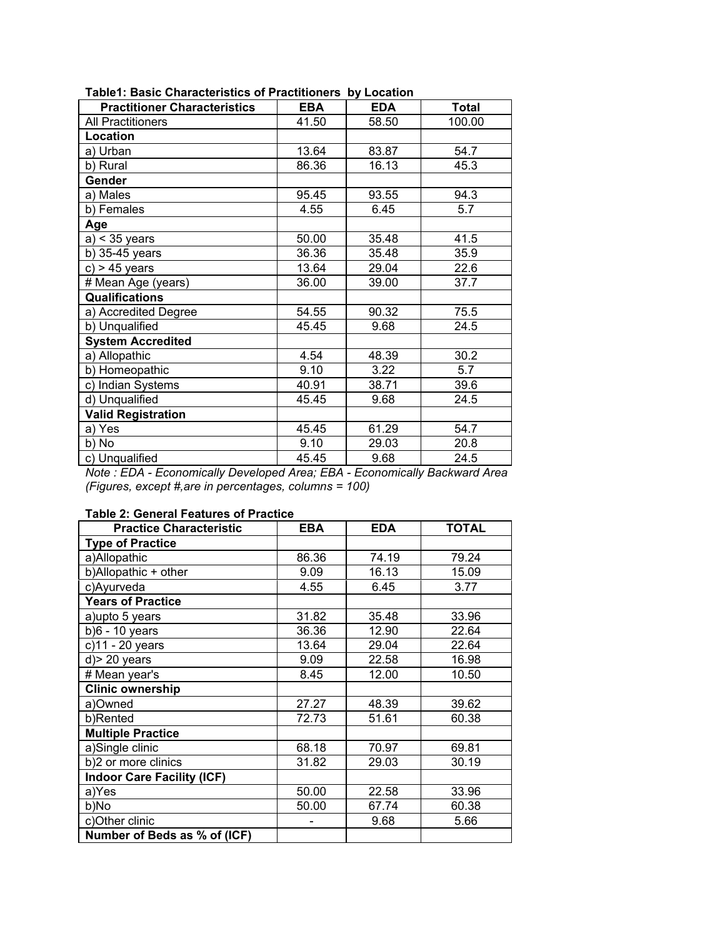| <b>Practitioner Characteristics</b> | <b>EBA</b> | <b>EDA</b> | <b>Total</b> |
|-------------------------------------|------------|------------|--------------|
| <b>All Practitioners</b>            | 41.50      | 58.50      | 100.00       |
| Location                            |            |            |              |
| a) Urban                            | 13.64      | 83.87      | 54.7         |
| b) Rural                            | 86.36      | 16.13      | 45.3         |
| Gender                              |            |            |              |
| a) Males                            | 95.45      | 93.55      | 94.3         |
| b) Females                          | 4.55       | 6.45       | 5.7          |
| <b>Age</b>                          |            |            |              |
| $a$ ) < 35 years                    | 50.00      | 35.48      | 41.5         |
| b) 35-45 years                      | 36.36      | 35.48      | 35.9         |
| $c$ ) > 45 years                    | 13.64      | 29.04      | 22.6         |
| # Mean Age (years)                  | 36.00      | 39.00      | 37.7         |
| <b>Qualifications</b>               |            |            |              |
| a) Accredited Degree                | 54.55      | 90.32      | 75.5         |
| b) Unqualified                      | 45.45      | 9.68       | 24.5         |
| <b>System Accredited</b>            |            |            |              |
| a) Allopathic                       | 4.54       | 48.39      | 30.2         |
| b) Homeopathic                      | 9.10       | 3.22       | 5.7          |
| c) Indian Systems                   | 40.91      | 38.71      | 39.6         |
| d) Unqualified                      | 45.45      | 9.68       | 24.5         |
| <b>Valid Registration</b>           |            |            |              |
| a) Yes                              | 45.45      | 61.29      | 54.7         |
| b) No                               | 9.10       | 29.03      | 20.8         |
| c) Unqualified                      | 45.45      | 9.68       | 24.5         |

**Table1: Basic Characteristics of Practitioners by Location** 

*Note : EDA - Economically Developed Area; EBA - Economically Backward Area (Figures, except #,are in percentages, columns = 100)* 

## **Table 2: General Features of Practice**

| <b>Practice Characteristic</b>    | <b>EBA</b> | <b>EDA</b> | <b>TOTAL</b> |
|-----------------------------------|------------|------------|--------------|
| <b>Type of Practice</b>           |            |            |              |
| a)Allopathic                      | 86.36      | 74.19      | 79.24        |
| b)Allopathic + other              | 9.09       | 16.13      | 15.09        |
| c)Ayurveda                        | 4.55       | 6.45       | 3.77         |
| <b>Years of Practice</b>          |            |            |              |
| a) upto 5 years                   | 31.82      | 35.48      | 33.96        |
| $b)6 - 10$ years                  | 36.36      | 12.90      | 22.64        |
| c)11 - 20 years                   | 13.64      | 29.04      | 22.64        |
| $d$ ) > 20 years                  | 9.09       | 22.58      | 16.98        |
| # Mean year's                     | 8.45       | 12.00      | 10.50        |
| <b>Clinic ownership</b>           |            |            |              |
| a)Owned                           | 27.27      | 48.39      | 39.62        |
| b)Rented                          | 72.73      | 51.61      | 60.38        |
| <b>Multiple Practice</b>          |            |            |              |
| a)Single clinic                   | 68.18      | 70.97      | 69.81        |
| b)2 or more clinics               | 31.82      | 29.03      | 30.19        |
| <b>Indoor Care Facility (ICF)</b> |            |            |              |
| a)Yes                             | 50.00      | 22.58      | 33.96        |
| b)No                              | 50.00      | 67.74      | 60.38        |
| c)Other clinic                    |            | 9.68       | 5.66         |
| Number of Beds as % of (ICF)      |            |            |              |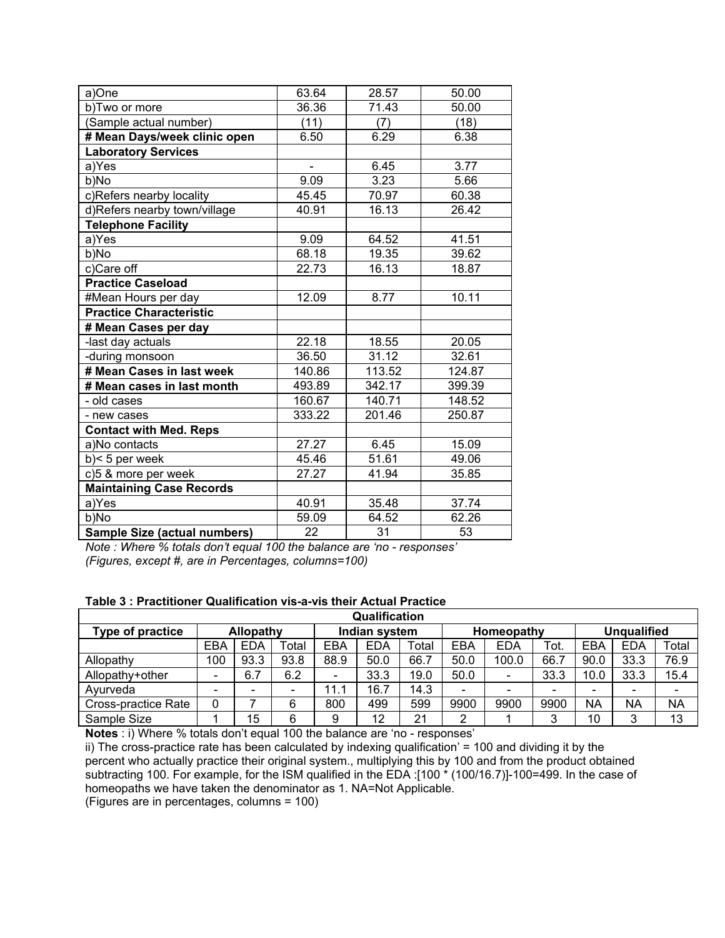| a)One                           | 63.64  | 28.57  | 50.00  |
|---------------------------------|--------|--------|--------|
| b)Two or more                   | 36.36  | 71.43  | 50.00  |
| (Sample actual number)          | (11)   | (7)    | (18)   |
| # Mean Days/week clinic open    | 6.50   | 6.29   | 6.38   |
| <b>Laboratory Services</b>      |        |        |        |
| a)Yes                           |        | 6.45   | 3.77   |
| b)No                            | 9.09   | 3.23   | 5.66   |
| c)Refers nearby locality        | 45.45  | 70.97  | 60.38  |
| d)Refers nearby town/village    | 40.91  | 16.13  | 26.42  |
| <b>Telephone Facility</b>       |        |        |        |
| a)Yes                           | 9.09   | 64.52  | 41.51  |
| b)No                            | 68.18  | 19.35  | 39.62  |
| c)Care off                      | 22.73  | 16.13  | 18.87  |
| <b>Practice Caseload</b>        |        |        |        |
| #Mean Hours per day             | 12.09  | 8.77   | 10.11  |
| <b>Practice Characteristic</b>  |        |        |        |
| # Mean Cases per day            |        |        |        |
| -last day actuals               | 22.18  | 18.55  | 20.05  |
| -during monsoon                 | 36.50  | 31.12  | 32.61  |
| # Mean Cases in last week       | 140.86 | 113.52 | 124.87 |
| # Mean cases in last month      | 493.89 | 342.17 | 399.39 |
| - old cases                     | 160.67 | 140.71 | 148.52 |
| - new cases                     | 333.22 | 201.46 | 250.87 |
| <b>Contact with Med. Reps</b>   |        |        |        |
| a)No contacts                   | 27.27  | 6.45   | 15.09  |
| $b$ < 5 per week                | 45.46  | 51.61  | 49.06  |
| c)5 & more per week             | 27.27  | 41.94  | 35.85  |
| <b>Maintaining Case Records</b> |        |        |        |
| a)Yes                           | 40.91  | 35.48  | 37.74  |
| b)No                            | 59.09  | 64.52  | 62.26  |
| Sample Size (actual numbers)    | 22     | 31     | 53     |

*Note : Where % totals don't equal 100 the balance are 'no - responses' (Figures, except #, are in Percentages, columns=100)* 

## **Table 3 : Practitioner Qualification vis-a-vis their Actual Practice**

| Qualification       |                          |                            |       |            |            |       |                          |            |        |      |            |           |
|---------------------|--------------------------|----------------------------|-------|------------|------------|-------|--------------------------|------------|--------|------|------------|-----------|
| Type of practice    |                          | Indian system<br>Allopathy |       | Homeopathy |            |       | <b>Unqualified</b>       |            |        |      |            |           |
|                     | EBA                      | <b>EDA</b>                 | Total | EBA        | <b>EDA</b> | Total | EBA                      | <b>EDA</b> | Tot.   | EBA  | <b>EDA</b> | Total     |
| Allopathy           | 100                      | 93.3                       | 93.8  | 88.9       | 50.0       | 66.7  | 50.0                     | 100.0      | 66.7   | 90.0 | 33.3       | 76.9      |
| Allopathy+other     | $\overline{\phantom{a}}$ | 6.7                        | 6.2   |            | 33.3       | 19.0  | 50.0                     |            | 33.3   | 10.0 | 33.3       | 15.4      |
| Avurveda            | $\overline{\phantom{0}}$ |                            |       | 11.1       | 16.7       | 14.3  | $\overline{\phantom{a}}$ |            |        |      |            |           |
| Cross-practice Rate | 0                        |                            | 6     | 800        | 499        | 599   | 9900                     | 9900       | 9900   | NA   | <b>NA</b>  | <b>NA</b> |
| Sample Size         |                          | 15                         | 6     | 9          | 12         | 21    | 2                        |            | ົ<br>ີ | 10   | ◠          | 13        |

**Notes** : i) Where % totals don't equal 100 the balance are 'no - responses'

ii) The cross-practice rate has been calculated by indexing qualification' = 100 and dividing it by the percent who actually practice their original system., multiplying this by 100 and from the product obtained subtracting 100. For example, for the ISM qualified in the EDA :[100 \* (100/16.7)]-100=499. In the case of homeopaths we have taken the denominator as 1. NA=Not Applicable.

(Figures are in percentages, columns = 100)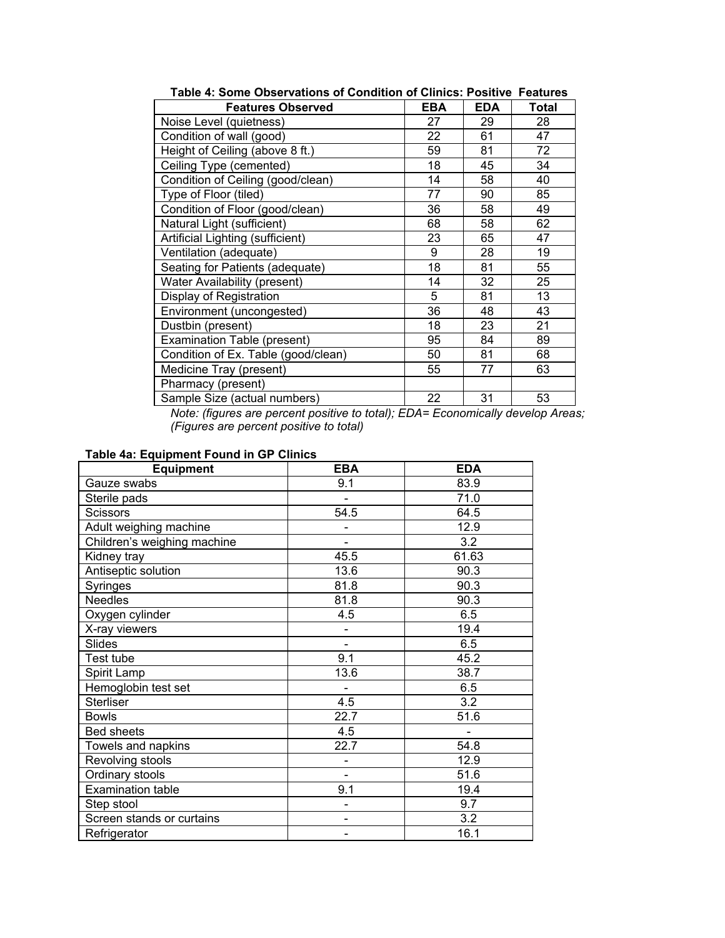| <b>Features Observed</b>            | <b>EBA</b> | <b>EDA</b> | Total |
|-------------------------------------|------------|------------|-------|
| Noise Level (quietness)             | 27         | 29         | 28    |
| Condition of wall (good)            | 22         | 61         | 47    |
| Height of Ceiling (above 8 ft.)     | 59         | 81         | 72    |
| Ceiling Type (cemented)             | 18         | 45         | 34    |
| Condition of Ceiling (good/clean)   | 14         | 58         | 40    |
| Type of Floor (tiled)               | 77         | 90         | 85    |
| Condition of Floor (good/clean)     | 36         | 58         | 49    |
| Natural Light (sufficient)          | 68         | 58         | 62    |
| Artificial Lighting (sufficient)    | 23         | 65         | 47    |
| Ventilation (adequate)              | 9          | 28         | 19    |
| Seating for Patients (adequate)     | 18         | 81         | 55    |
| Water Availability (present)        | 14         | 32         | 25    |
| Display of Registration             | 5          | 81         | 13    |
| Environment (uncongested)           | 36         | 48         | 43    |
| Dustbin (present)                   | 18         | 23         | 21    |
| Examination Table (present)         | 95         | 84         | 89    |
| Condition of Ex. Table (good/clean) | 50         | 81         | 68    |
| Medicine Tray (present)             | 55         | 77         | 63    |
| Pharmacy (present)                  |            |            |       |
| Sample Size (actual numbers)        | 22         | 31         | 53    |

**Table 4: Some Observations of Condition of Clinics: Positive Features** 

*Note: (figures are percent positive to total); EDA= Economically develop Areas; (Figures are percent positive to total)* 

#### **Table 4a: Equipment Found in GP Clinics**

| <b>Equipment</b>            | <b>EBA</b>                   | <b>EDA</b> |
|-----------------------------|------------------------------|------------|
| Gauze swabs                 | 9.1                          | 83.9       |
| Sterile pads                | $\blacksquare$               | 71.0       |
| <b>Scissors</b>             | 54.5                         | 64.5       |
| Adult weighing machine      |                              | 12.9       |
| Children's weighing machine |                              | 3.2        |
| Kidney tray                 | 45.5                         | 61.63      |
| Antiseptic solution         | 13.6                         | 90.3       |
| Syringes                    | 81.8                         | 90.3       |
| <b>Needles</b>              | 81.8                         | 90.3       |
| Oxygen cylinder             | 4.5                          | 6.5        |
| X-ray viewers               | $\overline{\phantom{0}}$     | 19.4       |
| <b>Slides</b>               |                              | 6.5        |
| Test tube                   | 9.1                          | 45.2       |
| Spirit Lamp                 | 13.6                         | 38.7       |
| Hemoglobin test set         |                              | 6.5        |
| <b>Sterliser</b>            | 4.5                          | 3.2        |
| <b>Bowls</b>                | 22.7                         | 51.6       |
| <b>Bed sheets</b>           | 4.5                          |            |
| Towels and napkins          | 22.7                         | 54.8       |
| Revolving stools            |                              | 12.9       |
| Ordinary stools             |                              | 51.6       |
| Examination table           | 9.1                          | 19.4       |
| Step stool                  |                              | 9.7        |
| Screen stands or curtains   | -                            | 3.2        |
| Refrigerator                | $\qquad \qquad \blacksquare$ | 16.1       |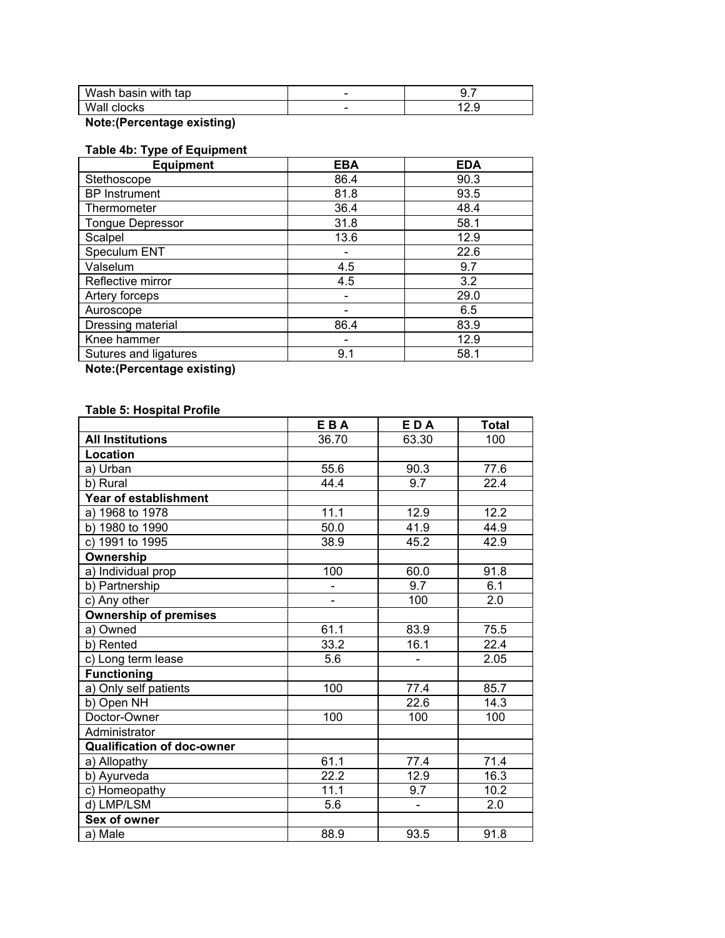| Wash basin with tap | - | ັ.      |
|---------------------|---|---------|
| Wall clocks         | - | <u></u> |

**Note:(Percentage existing)** 

## **Table 4b: Type of Equipment**

| <b>Equipment</b>        | <b>EBA</b> | <b>EDA</b> |
|-------------------------|------------|------------|
| Stethoscope             | 86.4       | 90.3       |
| <b>BP</b> Instrument    | 81.8       | 93.5       |
| Thermometer             | 36.4       | 48.4       |
| <b>Tongue Depressor</b> | 31.8       | 58.1       |
| Scalpel                 | 13.6       | 12.9       |
| Speculum ENT            |            | 22.6       |
| Valselum                | 4.5        | 9.7        |
| Reflective mirror       | 4.5        | 3.2        |
| Artery forceps          |            | 29.0       |
| Auroscope               |            | 6.5        |
| Dressing material       | 86.4       | 83.9       |
| Knee hammer             |            | 12.9       |
| Sutures and ligatures   | 9.1        | 58.1       |
|                         |            |            |

**Note:(Percentage existing)** 

# **Table 5: Hospital Profile**

|                                   | EBA   | EDA                      | <b>Total</b> |
|-----------------------------------|-------|--------------------------|--------------|
| <b>All Institutions</b>           | 36.70 | 63.30                    | 100          |
| Location                          |       |                          |              |
| a) Urban                          | 55.6  | 90.3                     | 77.6         |
| b) Rural                          | 44.4  | 9.7                      | 22.4         |
| <b>Year of establishment</b>      |       |                          |              |
| a) 1968 to 1978                   | 11.1  | 12.9                     | 12.2         |
| b) 1980 to 1990                   | 50.0  | 41.9                     | 44.9         |
| c) 1991 to 1995                   | 38.9  | 45.2                     | 42.9         |
| Ownership                         |       |                          |              |
| a) Individual prop                | 100   | 60.0                     | 91.8         |
| b) Partnership                    |       | 9.7                      | 6.1          |
| c) Any other                      |       | 100                      | 2.0          |
| <b>Ownership of premises</b>      |       |                          |              |
| a) Owned                          | 61.1  | 83.9                     | 75.5         |
| b) Rented                         | 33.2  | 16.1                     | 22.4         |
| c) Long term lease                | 5.6   |                          | 2.05         |
| <b>Functioning</b>                |       |                          |              |
| a) Only self patients             | 100   | 77.4                     | 85.7         |
| b) Open NH                        |       | 22.6                     | 14.3         |
| Doctor-Owner                      | 100   | 100                      | 100          |
| Administrator                     |       |                          |              |
| <b>Qualification of doc-owner</b> |       |                          |              |
| a) Allopathy                      | 61.1  | 77.4                     | 71.4         |
| b) Ayurveda                       | 22.2  | 12.9                     | 16.3         |
| c) Homeopathy                     | 11.1  | 9.7                      | 10.2         |
| d) LMP/LSM                        | 5.6   | $\overline{\phantom{a}}$ | 2.0          |
| Sex of owner                      |       |                          |              |
| a) Male                           | 88.9  | 93.5                     | 91.8         |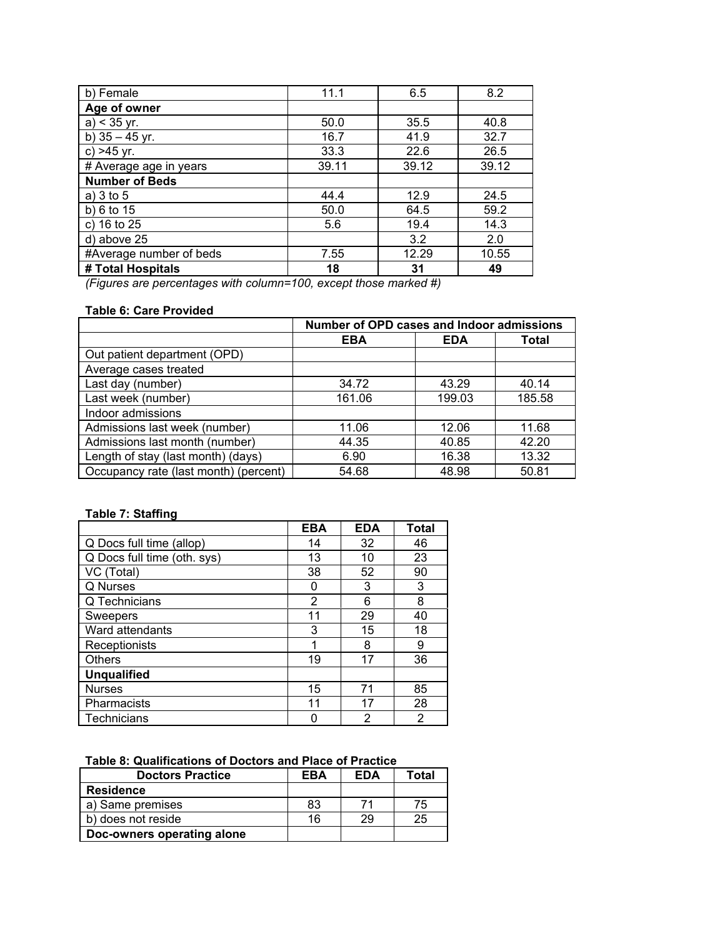| b) Female               | 11.1  | 6.5   | 8.2   |
|-------------------------|-------|-------|-------|
| Age of owner            |       |       |       |
| $a)$ < 35 yr.           | 50.0  | 35.5  | 40.8  |
| b) $35 - 45$ yr.        | 16.7  | 41.9  | 32.7  |
| $c) > 45$ yr.           | 33.3  | 22.6  | 26.5  |
| # Average age in years  | 39.11 | 39.12 | 39.12 |
| <b>Number of Beds</b>   |       |       |       |
| a) $3$ to $5$           | 44.4  | 12.9  | 24.5  |
| b) $6$ to $15$          | 50.0  | 64.5  | 59.2  |
| c) 16 to 25             | 5.6   | 19.4  | 14.3  |
| d) above 25             |       | 3.2   | 2.0   |
| #Average number of beds | 7.55  | 12.29 | 10.55 |
| # Total Hospitals       | 18    | 31    | 49    |

*(Figures are percentages with column=100, except those marked #)* 

# **Table 6: Care Provided**

|                                       | Number of OPD cases and Indoor admissions |            |        |
|---------------------------------------|-------------------------------------------|------------|--------|
|                                       | <b>EBA</b>                                | <b>EDA</b> | Total  |
| Out patient department (OPD)          |                                           |            |        |
| Average cases treated                 |                                           |            |        |
| Last day (number)                     | 34.72                                     | 43.29      | 40.14  |
| Last week (number)                    | 161.06                                    | 199.03     | 185.58 |
| Indoor admissions                     |                                           |            |        |
| Admissions last week (number)         | 11.06                                     | 12.06      | 11.68  |
| Admissions last month (number)        | 44.35                                     | 40.85      | 42.20  |
| Length of stay (last month) (days)    | 6.90                                      | 16.38      | 13.32  |
| Occupancy rate (last month) (percent) | 54.68                                     | 48.98      | 50.81  |

# **Table 7: Staffing**

|                             | <b>EBA</b> | <b>EDA</b> | Total |
|-----------------------------|------------|------------|-------|
| Q Docs full time (allop)    | 14         | 32         | 46    |
| Q Docs full time (oth. sys) | 13         | 10         | 23    |
| VC (Total)                  | 38         | 52         | 90    |
| Q Nurses                    | 0          | 3          | 3     |
| Q Technicians               | 2          | 6          | 8     |
| Sweepers                    | 11         | 29         | 40    |
| Ward attendants             | 3          | 15         | 18    |
| Receptionists               | 1          | 8          | 9     |
| <b>Others</b>               | 19         | 17         | 36    |
| <b>Unqualified</b>          |            |            |       |
| <b>Nurses</b>               | 15         | 71         | 85    |
| Pharmacists                 | 11         | 17         | 28    |
| Technicians                 | ი          | 2          | 2     |

| Table 8: Qualifications of Doctors and Place of Practice |  |  |
|----------------------------------------------------------|--|--|
|----------------------------------------------------------|--|--|

| <b>Doctors Practice</b>    | EBA | <b>EDA</b> | Total |
|----------------------------|-----|------------|-------|
| <b>Residence</b>           |     |            |       |
| a) Same premises           | 83  | 71         | 75    |
| b) does not reside         | 16  | 29         | 25    |
| Doc-owners operating alone |     |            |       |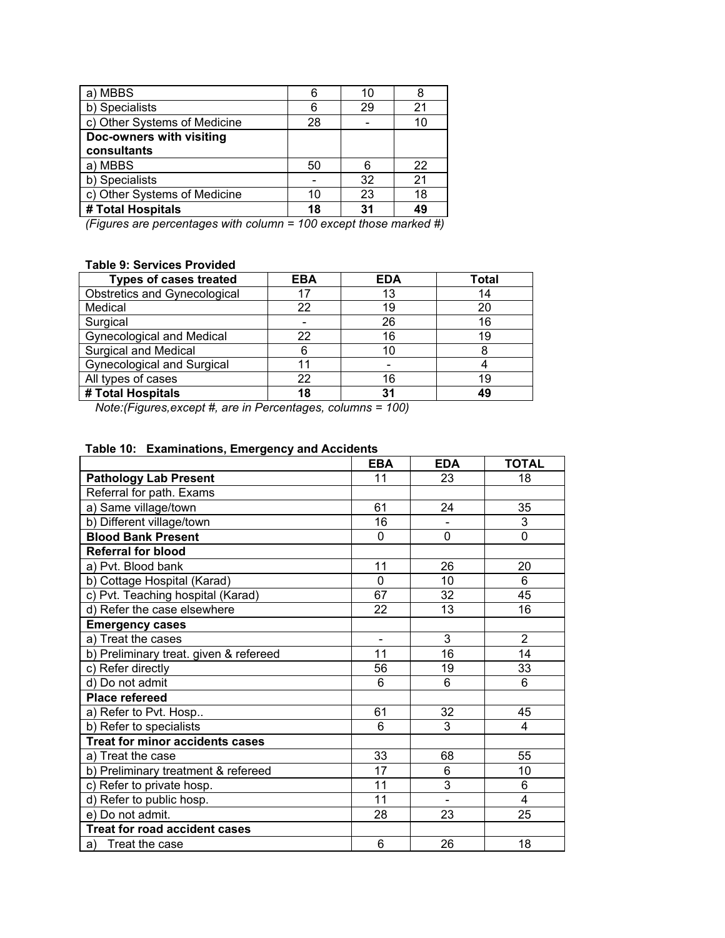| a) MBBS                      |    | 10 |    |
|------------------------------|----|----|----|
| b) Specialists               | 6  | 29 | 21 |
| c) Other Systems of Medicine | 28 |    |    |
| Doc-owners with visiting     |    |    |    |
| consultants                  |    |    |    |
| a) MBBS                      | 50 | 6  | 22 |
| b) Specialists               |    | 32 | 21 |
| c) Other Systems of Medicine | 10 | 23 | 18 |
| # Total Hospitals            | 18 | 31 | 49 |

*(Figures are percentages with column = 100 except those marked #)* 

# **Table 9: Services Provided**

| <b>Types of cases treated</b>     | <b>EBA</b> | <b>EDA</b> | Total |
|-----------------------------------|------------|------------|-------|
| Obstretics and Gynecological      |            | 13         | 14    |
| Medical                           | 22         | 19         | 20    |
| Surgical                          |            | 26         | 16    |
| <b>Gynecological and Medical</b>  | 22         | 16         | 19    |
| <b>Surgical and Medical</b>       |            | 10         |       |
| <b>Gynecological and Surgical</b> |            |            |       |
| All types of cases                | 22         | 16         | 19    |
| # Total Hospitals                 | 18         | 31         | 49    |

 *Note:(Figures,except #, are in Percentages, columns = 100)* 

# **Table 10: Examinations, Emergency and Accidents**

|                                        | <b>EBA</b>               | <b>EDA</b> | <b>TOTAL</b>   |
|----------------------------------------|--------------------------|------------|----------------|
| <b>Pathology Lab Present</b>           | 11                       | 23         | 18             |
| Referral for path. Exams               |                          |            |                |
| a) Same village/town                   | 61                       | 24         | 35             |
| b) Different village/town              | 16                       |            | 3              |
| <b>Blood Bank Present</b>              | 0                        | 0          | $\mathbf 0$    |
| <b>Referral for blood</b>              |                          |            |                |
| a) Pvt. Blood bank                     | 11                       | 26         | 20             |
| b) Cottage Hospital (Karad)            | $\Omega$                 | 10         | 6              |
| c) Pvt. Teaching hospital (Karad)      | 67                       | 32         | 45             |
| d) Refer the case elsewhere            | 22                       | 13         | 16             |
| <b>Emergency cases</b>                 |                          |            |                |
| a) Treat the cases                     | $\overline{\phantom{0}}$ | 3          | $\overline{2}$ |
| b) Preliminary treat. given & refereed | 11                       | 16         | 14             |
| c) Refer directly                      | 56                       | 19         | 33             |
| d) Do not admit                        | 6                        | 6          | 6              |
| <b>Place refereed</b>                  |                          |            |                |
| a) Refer to Pvt. Hosp                  | 61                       | 32         | 45             |
| b) Refer to specialists                | 6                        | 3          | $\overline{4}$ |
| <b>Treat for minor accidents cases</b> |                          |            |                |
| a) Treat the case                      | 33                       | 68         | 55             |
| b) Preliminary treatment & refereed    | 17                       | 6          | 10             |
| c) Refer to private hosp.              | 11                       | 3          | 6              |
| d) Refer to public hosp.               | 11                       |            | 4              |
| e) Do not admit.                       | 28                       | 23         | 25             |
| <b>Treat for road accident cases</b>   |                          |            |                |
| a) Treat the case                      | 6                        | 26         | 18             |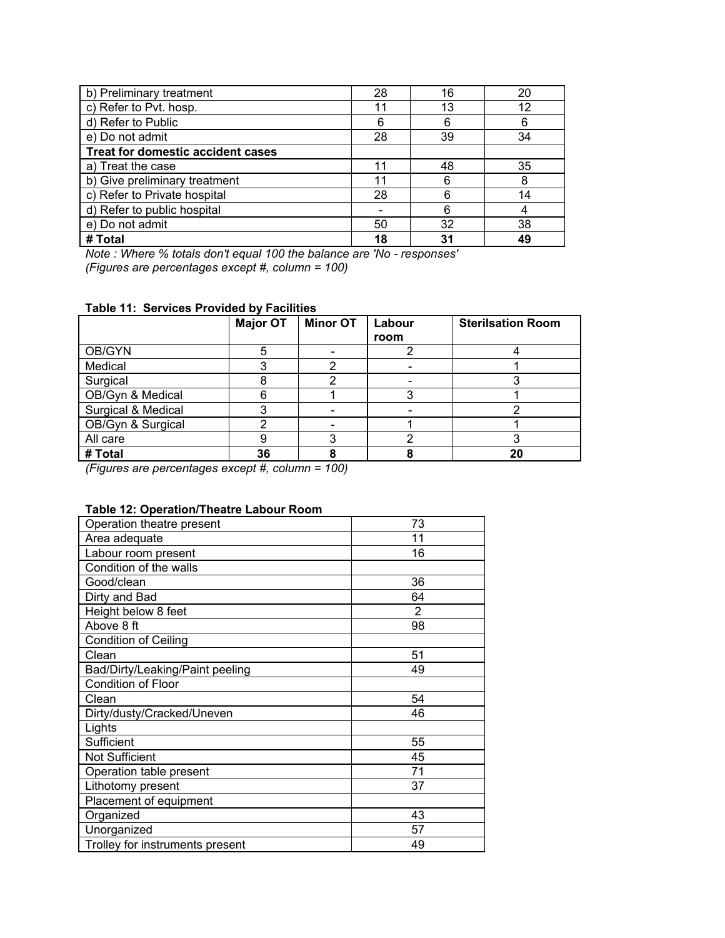| b) Preliminary treatment                 | 28 | 16 | 20 |
|------------------------------------------|----|----|----|
| c) Refer to Pvt. hosp.                   | 11 | 13 | 12 |
| d) Refer to Public                       | 6  | 6  | 6  |
| e) Do not admit                          | 28 | 39 | 34 |
| <b>Treat for domestic accident cases</b> |    |    |    |
| a) Treat the case                        | 11 | 48 | 35 |
| b) Give preliminary treatment            | 11 | 6  | 8  |
| c) Refer to Private hospital             | 28 | 6  | 14 |
| d) Refer to public hospital              |    | 6  | 4  |
| e) Do not admit                          | 50 | 32 | 38 |
| # Total                                  | 18 | 31 | 49 |

*Note : Where % totals don't equal 100 the balance are 'No - responses' (Figures are percentages except #, column = 100)* 

|                    | <b>Major OT</b> | <b>Minor OT</b> | Labour<br>room | <b>Sterilsation Room</b> |
|--------------------|-----------------|-----------------|----------------|--------------------------|
| OB/GYN             |                 |                 |                |                          |
| Medical            |                 |                 |                |                          |
| Surgical           |                 |                 |                |                          |
| OB/Gyn & Medical   |                 |                 |                |                          |
| Surgical & Medical |                 |                 |                |                          |
| OB/Gyn & Surgical  |                 |                 |                |                          |
| All care           |                 | ◠               |                |                          |
| # Total            | 36              |                 |                | 20                       |

# **Table 11: Services Provided by Facilities**

*(Figures are percentages except #, column = 100)* 

# **Table 12: Operation/Theatre Labour Room**

| Operation theatre present       | 73 |
|---------------------------------|----|
| Area adequate                   | 11 |
| Labour room present             | 16 |
| Condition of the walls          |    |
| Good/clean                      | 36 |
| Dirty and Bad                   | 64 |
| Height below 8 feet             | 2  |
| Above 8 ft                      | 98 |
| <b>Condition of Ceiling</b>     |    |
| Clean                           | 51 |
| Bad/Dirty/Leaking/Paint peeling | 49 |
| <b>Condition of Floor</b>       |    |
| Clean                           | 54 |
| Dirty/dusty/Cracked/Uneven      | 46 |
| Lights                          |    |
| Sufficient                      | 55 |
| Not Sufficient                  | 45 |
| Operation table present         | 71 |
| Lithotomy present               | 37 |
| Placement of equipment          |    |
| Organized                       | 43 |
| Unorganized                     | 57 |
| Trolley for instruments present | 49 |